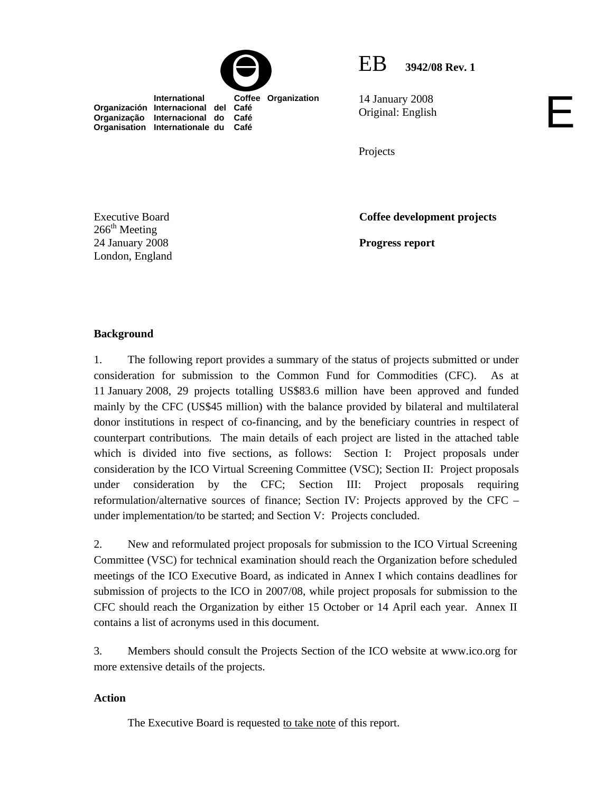



E

14 January 2008 Original: English

**Organización Internacional del Café Organização Internacional do Café Organisation Internationale du Café**

Projects

Executive Board  $266^{\text{th}}$  Meeting 24 January 2008 London, England **Coffee development projects** 

**Progress report** 

# **Background**

1. The following report provides a summary of the status of projects submitted or under consideration for submission to the Common Fund for Commodities (CFC). As at 11 January 2008, 29 projects totalling US\$83.6 million have been approved and funded mainly by the CFC (US\$45 million) with the balance provided by bilateral and multilateral donor institutions in respect of co-financing, and by the beneficiary countries in respect of counterpart contributions*.* The main details of each project are listed in the attached table which is divided into five sections, as follows: Section I: Project proposals under consideration by the ICO Virtual Screening Committee (VSC); Section II: Project proposals under consideration by the CFC; Section III: Project proposals requiring reformulation/alternative sources of finance; Section IV: Projects approved by the CFC – under implementation/to be started; and Section V: Projects concluded.

2. New and reformulated project proposals for submission to the ICO Virtual Screening Committee (VSC) for technical examination should reach the Organization before scheduled meetings of the ICO Executive Board, as indicated in Annex I which contains deadlines for submission of projects to the ICO in 2007/08, while project proposals for submission to the CFC should reach the Organization by either 15 October or 14 April each year. Annex II contains a list of acronyms used in this document.

3. Members should consult the Projects Section of the ICO website at www.ico.org for more extensive details of the projects.

### **Action**

The Executive Board is requested to take note of this report.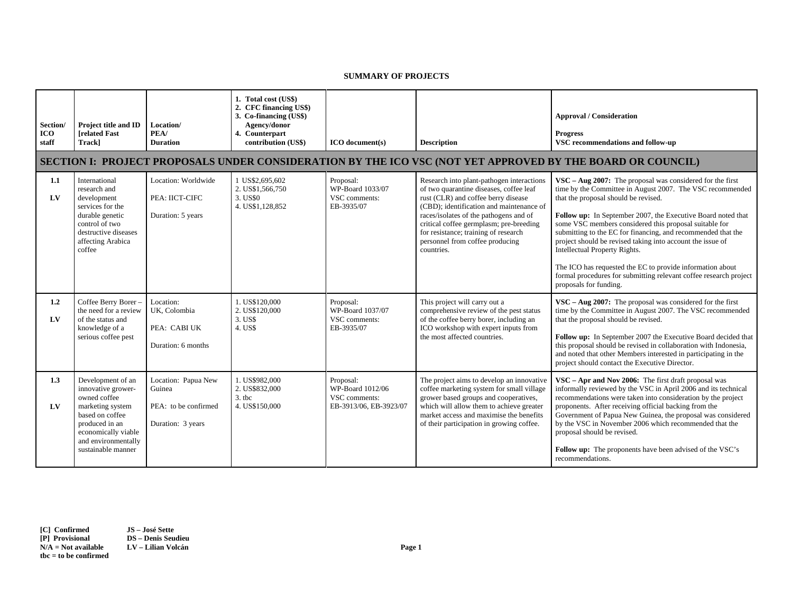#### **SUMMARY OF PROJECTS**

| Section/<br><b>ICO</b><br>staff | Project title and ID<br><b>Irelated Fast</b><br>Trackl                                                                                                                               | Location/<br>PEA/<br><b>Duration</b>                                       | 1. Total cost (US\$)<br>2. CFC financing US\$)<br>3. Co-financing (US\$)<br>Agency/donor<br>4. Counterpart<br>contribution (US\$) | ICO document(s)                                                          | <b>Description</b>                                                                                                                                                                                                                                                                                                                                    | <b>Approval / Consideration</b><br><b>Progress</b><br>VSC recommendations and follow-up                                                                                                                                                                                                                                                                                                                                                                                                                                                                                                                                |
|---------------------------------|--------------------------------------------------------------------------------------------------------------------------------------------------------------------------------------|----------------------------------------------------------------------------|-----------------------------------------------------------------------------------------------------------------------------------|--------------------------------------------------------------------------|-------------------------------------------------------------------------------------------------------------------------------------------------------------------------------------------------------------------------------------------------------------------------------------------------------------------------------------------------------|------------------------------------------------------------------------------------------------------------------------------------------------------------------------------------------------------------------------------------------------------------------------------------------------------------------------------------------------------------------------------------------------------------------------------------------------------------------------------------------------------------------------------------------------------------------------------------------------------------------------|
|                                 |                                                                                                                                                                                      |                                                                            |                                                                                                                                   |                                                                          |                                                                                                                                                                                                                                                                                                                                                       | SECTION I: PROJECT PROPOSALS UNDER CONSIDERATION BY THE ICO VSC (NOT YET APPROVED BY THE BOARD OR COUNCIL)                                                                                                                                                                                                                                                                                                                                                                                                                                                                                                             |
| 1.1<br>LV                       | International<br>research and<br>development<br>services for the<br>durable genetic<br>control of two<br>destructive diseases<br>affecting Arabica<br>coffee                         | Location: Worldwide<br>PEA: IICT-CIFC<br>Duration: 5 years                 | 1 US\$2,695,602<br>2. US\$1,566,750<br>3. US\$0<br>4. US\$1,128,852                                                               | Proposal:<br>WP-Board 1033/07<br>VSC comments:<br>EB-3935/07             | Research into plant-pathogen interactions<br>of two quarantine diseases, coffee leaf<br>rust (CLR) and coffee berry disease<br>(CBD); identification and maintenance of<br>races/isolates of the pathogens and of<br>critical coffee germplasm; pre-breeding<br>for resistance; training of research<br>personnel from coffee producing<br>countries. | $VSC - Aug 2007$ : The proposal was considered for the first<br>time by the Committee in August 2007. The VSC recommended<br>that the proposal should be revised.<br>Follow up: In September 2007, the Executive Board noted that<br>some VSC members considered this proposal suitable for<br>submitting to the EC for financing, and recommended that the<br>project should be revised taking into account the issue of<br>Intellectual Property Rights.<br>The ICO has requested the EC to provide information about<br>formal procedures for submitting relevant coffee research project<br>proposals for funding. |
| 1.2<br>$L$ V                    | Coffee Berry Borer-<br>the need for a review<br>of the status and<br>knowledge of a<br>serious coffee pest                                                                           | Location:<br>UK, Colombia<br>PEA: CABI UK<br>Duration: 6 months            | 1. US\$120,000<br>2. US\$120,000<br>3. US\$<br>4. US\$                                                                            | Proposal:<br>WP-Board 1037/07<br>VSC comments:<br>EB-3935/07             | This project will carry out a<br>comprehensive review of the pest status<br>of the coffee berry borer, including an<br>ICO workshop with expert inputs from<br>the most affected countries.                                                                                                                                                           | $VSC - Aug 2007$ : The proposal was considered for the first<br>time by the Committee in August 2007. The VSC recommended<br>that the proposal should be revised.<br>Follow up: In September 2007 the Executive Board decided that<br>this proposal should be revised in collaboration with Indonesia,<br>and noted that other Members interested in participating in the<br>project should contact the Executive Director.                                                                                                                                                                                            |
| 1.3<br>LV                       | Development of an<br>innovative grower-<br>owned coffee<br>marketing system<br>based on coffee<br>produced in an<br>economically viable<br>and environmentally<br>sustainable manner | Location: Papua New<br>Guinea<br>PEA: to be confirmed<br>Duration: 3 years | 1. US\$982,000<br>2. US\$832,000<br>$3.$ tbc<br>4. US\$150,000                                                                    | Proposal:<br>WP-Board 1012/06<br>VSC comments:<br>EB-3913/06, EB-3923/07 | The project aims to develop an innovative<br>coffee marketing system for small village<br>grower based groups and cooperatives,<br>which will allow them to achieve greater<br>market access and maximise the benefits<br>of their participation in growing coffee.                                                                                   | $VSC - Apr$ and Nov 2006: The first draft proposal was<br>informally reviewed by the VSC in April 2006 and its technical<br>recommendations were taken into consideration by the project<br>proponents. After receiving official backing from the<br>Government of Papua New Guinea, the proposal was considered<br>by the VSC in November 2006 which recommended that the<br>proposal should be revised.<br>Follow up: The proponents have been advised of the VSC's<br>recommendations.                                                                                                                              |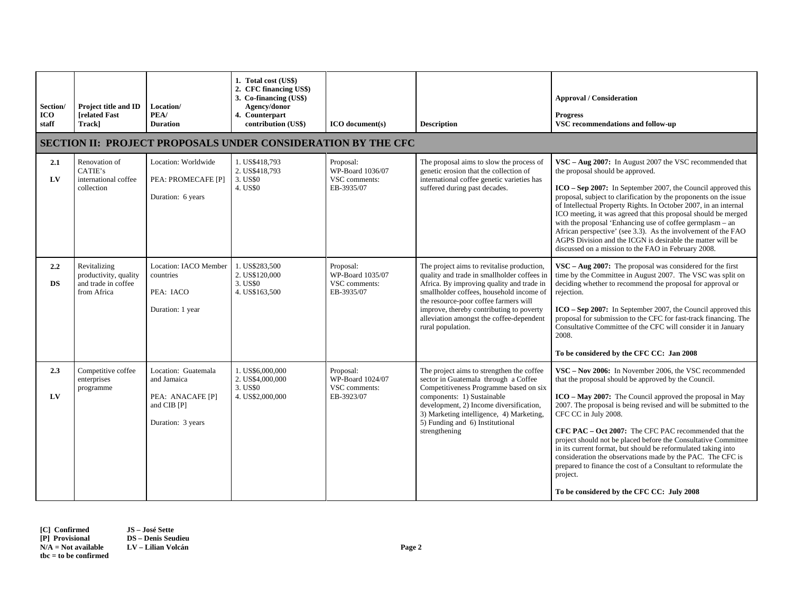| Section/<br><b>ICO</b><br>staff | Project title and ID<br><b>[related Fast</b><br>Track]                      | Location/<br>PEA/<br><b>Duration</b>                                                       | 1. Total cost (US\$)<br>2. CFC financing US\$)<br>3. Co-financing (US\$)<br>Agency/donor<br>4. Counterpart<br>contribution (US\$) | ICO document(s)                                              | <b>Description</b>                                                                                                                                                                                                                                                                                                                       | <b>Approval / Consideration</b><br><b>Progress</b><br>VSC recommendations and follow-up                                                                                                                                                                                                                                                                                                                                                                                                                                                                                                                                                                    |  |  |  |  |
|---------------------------------|-----------------------------------------------------------------------------|--------------------------------------------------------------------------------------------|-----------------------------------------------------------------------------------------------------------------------------------|--------------------------------------------------------------|------------------------------------------------------------------------------------------------------------------------------------------------------------------------------------------------------------------------------------------------------------------------------------------------------------------------------------------|------------------------------------------------------------------------------------------------------------------------------------------------------------------------------------------------------------------------------------------------------------------------------------------------------------------------------------------------------------------------------------------------------------------------------------------------------------------------------------------------------------------------------------------------------------------------------------------------------------------------------------------------------------|--|--|--|--|
|                                 | <b>SECTION II: PROJECT PROPOSALS UNDER CONSIDERATION BY THE CFC</b>         |                                                                                            |                                                                                                                                   |                                                              |                                                                                                                                                                                                                                                                                                                                          |                                                                                                                                                                                                                                                                                                                                                                                                                                                                                                                                                                                                                                                            |  |  |  |  |
| 2.1<br>LV                       | Renovation of<br>CATIE's<br>international coffee<br>collection              | Location: Worldwide<br>PEA: PROMECAFE [P]<br>Duration: 6 years                             | 1. US\$418,793<br>2. US\$418,793<br>3. US\$0<br>4. US\$0                                                                          | Proposal:<br>WP-Board 1036/07<br>VSC comments:<br>EB-3935/07 | The proposal aims to slow the process of<br>genetic erosion that the collection of<br>international coffee genetic varieties has<br>suffered during past decades.                                                                                                                                                                        | VSC - Aug 2007: In August 2007 the VSC recommended that<br>the proposal should be approved.<br>ICO – Sep 2007: In September 2007, the Council approved this<br>proposal, subject to clarification by the proponents on the issue<br>of Intellectual Property Rights. In October 2007, in an internal<br>ICO meeting, it was agreed that this proposal should be merged<br>with the proposal 'Enhancing use of coffee germplasm – an<br>African perspective' (see 3.3). As the involvement of the FAO<br>AGPS Division and the ICGN is desirable the matter will be<br>discussed on a mission to the FAO in February 2008.                                  |  |  |  |  |
| $2.2\,$<br>DS                   | Revitalizing<br>productivity, quality<br>and trade in coffee<br>from Africa | Location: IACO Member<br>countries<br>PEA: IACO<br>Duration: 1 year                        | 1. US\$283,500<br>2. US\$120,000<br>3. US\$0<br>4. US\$163,500                                                                    | Proposal:<br>WP-Board 1035/07<br>VSC comments:<br>EB-3935/07 | The project aims to revitalise production,<br>quality and trade in smallholder coffees in<br>Africa. By improving quality and trade in<br>smallholder coffees, household income of<br>the resource-poor coffee farmers will<br>improve, thereby contributing to poverty<br>alleviation amongst the coffee-dependent<br>rural population. | $VSC - Aug 2007$ : The proposal was considered for the first<br>time by the Committee in August 2007. The VSC was split on<br>deciding whether to recommend the proposal for approval or<br>rejection.<br>ICO – Sep 2007: In September 2007, the Council approved this<br>proposal for submission to the CFC for fast-track financing. The<br>Consultative Committee of the CFC will consider it in January<br>2008.<br>To be considered by the CFC CC: Jan 2008                                                                                                                                                                                           |  |  |  |  |
| $2.3\phantom{0}$<br>$L$ V       | Competitive coffee<br>enterprises<br>programme                              | Location: Guatemala<br>and Jamaica<br>PEA: ANACAFE [P]<br>and CIB [P]<br>Duration: 3 years | 1. US\$6,000,000<br>2. US\$4,000,000<br>3. US\$0<br>4. US\$2,000,000                                                              | Proposal:<br>WP-Board 1024/07<br>VSC comments:<br>EB-3923/07 | The project aims to strengthen the coffee<br>sector in Guatemala through a Coffee<br>Competitiveness Programme based on six<br>components: 1) Sustainable<br>development, 2) Income diversification,<br>3) Marketing intelligence, 4) Marketing,<br>5) Funding and 6) Institutional<br>strengthening                                     | VSC – Nov 2006: In November 2006, the VSC recommended<br>that the proposal should be approved by the Council.<br>ICO – May 2007: The Council approved the proposal in May<br>2007. The proposal is being revised and will be submitted to the<br>CFC CC in July 2008.<br>CFC PAC – Oct 2007: The CFC PAC recommended that the<br>project should not be placed before the Consultative Committee<br>in its current format, but should be reformulated taking into<br>consideration the observations made by the PAC. The CFC is<br>prepared to finance the cost of a Consultant to reformulate the<br>project.<br>To be considered by the CFC CC: July 2008 |  |  |  |  |

**[C] Confirmed JS – José Sette** Page 2<br> **N/A = Not available 2**<br> **N/A = Not available 2**<br> **N/A = Not available 2**<br> **N/A = Not available 2 tbc = to be confirmed** 

**DS – Denis Seudieu<br>LV – Lilian Volcán**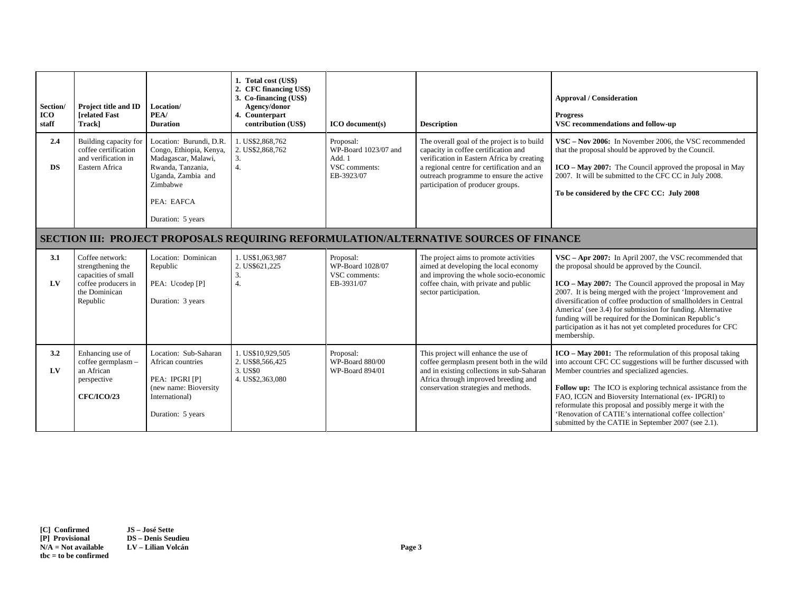| Section/<br><b>ICO</b><br>staff | <b>Project title and ID</b><br><b>Trelated Fast</b><br>Trackl                                                   | Location/<br>PEA/<br><b>Duration</b>                                                                                                                                | 1. Total cost (US\$)<br>2. CFC financing US\$)<br>3. Co-financing (US\$)<br>Agency/donor<br>4. Counterpart<br>contribution (US\$) | <b>ICO</b> document(s)                                                     | <b>Description</b>                                                                                                                                                                                                                                              | <b>Approval / Consideration</b><br><b>Progress</b><br>VSC recommendations and follow-up                                                                                                                                                                                                                                                                                                                                                                                                                       |  |  |
|---------------------------------|-----------------------------------------------------------------------------------------------------------------|---------------------------------------------------------------------------------------------------------------------------------------------------------------------|-----------------------------------------------------------------------------------------------------------------------------------|----------------------------------------------------------------------------|-----------------------------------------------------------------------------------------------------------------------------------------------------------------------------------------------------------------------------------------------------------------|---------------------------------------------------------------------------------------------------------------------------------------------------------------------------------------------------------------------------------------------------------------------------------------------------------------------------------------------------------------------------------------------------------------------------------------------------------------------------------------------------------------|--|--|
| 2.4<br><b>DS</b>                | Building capacity for<br>coffee certification<br>and verification in<br>Eastern Africa                          | Location: Burundi, D.R.<br>Congo, Ethiopia, Kenya,<br>Madagascar, Malawi,<br>Rwanda, Tanzania,<br>Uganda, Zambia and<br>Zimbabwe<br>PEA: EAFCA<br>Duration: 5 years | 1. US\$2,868,762<br>2. US\$2,868,762<br>3.<br>4.                                                                                  | Proposal:<br>WP-Board 1023/07 and<br>Add. 1<br>VSC comments:<br>EB-3923/07 | The overall goal of the project is to build<br>capacity in coffee certification and<br>verification in Eastern Africa by creating<br>a regional centre for certification and an<br>outreach programme to ensure the active<br>participation of producer groups. | VSC – Nov 2006: In November 2006, the VSC recommended<br>that the proposal should be approved by the Council.<br>ICO – May 2007: The Council approved the proposal in May<br>2007. It will be submitted to the CFC CC in July 2008.<br>To be considered by the CFC CC: July 2008                                                                                                                                                                                                                              |  |  |
|                                 | <b>SECTION III: PROJECT PROPOSALS REQUIRING REFORMULATION/ALTERNATIVE SOURCES OF FINANCE</b>                    |                                                                                                                                                                     |                                                                                                                                   |                                                                            |                                                                                                                                                                                                                                                                 |                                                                                                                                                                                                                                                                                                                                                                                                                                                                                                               |  |  |
| 3.1<br>LV                       | Coffee network:<br>strengthening the<br>capacities of small<br>coffee producers in<br>the Dominican<br>Republic | Location: Dominican<br>Republic<br>PEA: Ucodep [P]<br>Duration: 3 years                                                                                             | 1. US\$1,063,987<br>2. US\$621.225<br>3.<br>$\overline{4}$ .                                                                      | Proposal:<br>WP-Board 1028/07<br>VSC comments:<br>EB-3931/07               | The project aims to promote activities<br>aimed at developing the local economy<br>and improving the whole socio-economic<br>coffee chain, with private and public<br>sector participation.                                                                     | VSC - Apr 2007: In April 2007, the VSC recommended that<br>the proposal should be approved by the Council.<br>ICO - May 2007: The Council approved the proposal in May<br>2007. It is being merged with the project 'Improvement and<br>diversification of coffee production of smallholders in Central<br>America' (see 3.4) for submission for funding. Alternative<br>funding will be required for the Dominican Republic's<br>participation as it has not yet completed procedures for CFC<br>membership. |  |  |
| 3.2<br>LV                       | Enhancing use of<br>coffee germplasm -<br>an African<br>perspective<br><b>CFC/ICO/23</b>                        | Location: Sub-Saharan<br>African countries<br>PEA: IPGRI [P]<br>(new name: Bioversity<br>International)<br>Duration: 5 years                                        | 1. US\$10.929.505<br>2. US\$8,566,425<br>3. US\$0<br>4. US\$2,363,080                                                             | Proposal:<br>WP-Board 880/00<br>WP-Board 894/01                            | This project will enhance the use of<br>coffee germplasm present both in the wild<br>and in existing collections in sub-Saharan<br>Africa through improved breeding and<br>conservation strategies and methods.                                                 | $ICO - May 2001$ : The reformulation of this proposal taking<br>into account CFC CC suggestions will be further discussed with<br>Member countries and specialized agencies.<br>Follow up: The ICO is exploring technical assistance from the<br>FAO, ICGN and Bioversity International (ex-IPGRI) to<br>reformulate this proposal and possibly merge it with the<br>'Renovation of CATIE's international coffee collection'<br>submitted by the CATIE in September 2007 (see 2.1).                           |  |  |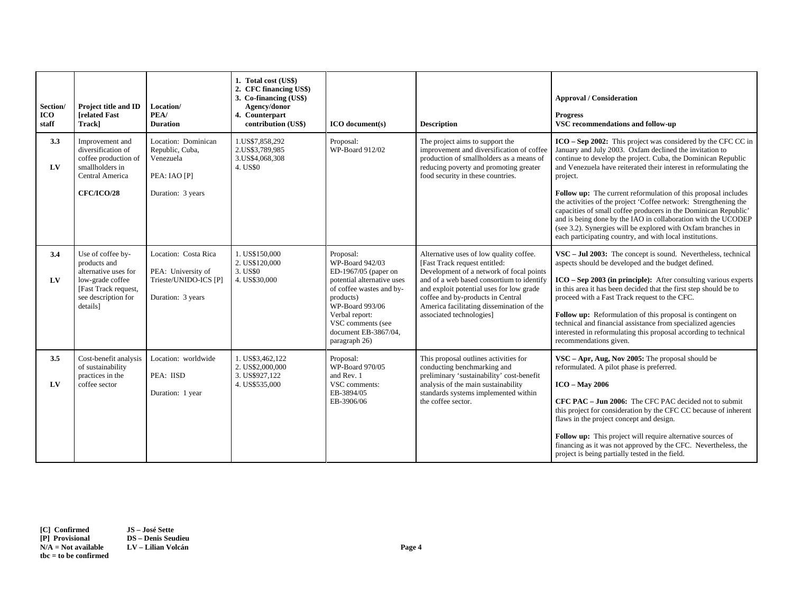| Section/<br><b>ICO</b><br>staff | <b>Project title and ID</b><br><b>[related Fast</b><br>Trackl                                                                            | Location/<br>PEA/<br><b>Duration</b>                                                     | 1. Total cost (US\$)<br>2. CFC financing US\$)<br>3. Co-financing (US\$)<br>Agency/donor<br>4. Counterpart<br>contribution (US\$) | $ICO$ document(s)                                                                                                                                                                                                              | <b>Description</b>                                                                                                                                                                                                                                                                                                          | <b>Approval / Consideration</b><br><b>Progress</b><br>VSC recommendations and follow-up                                                                                                                                                                                                                                                                                                                                                                                                                                                                                                                                                                                         |
|---------------------------------|------------------------------------------------------------------------------------------------------------------------------------------|------------------------------------------------------------------------------------------|-----------------------------------------------------------------------------------------------------------------------------------|--------------------------------------------------------------------------------------------------------------------------------------------------------------------------------------------------------------------------------|-----------------------------------------------------------------------------------------------------------------------------------------------------------------------------------------------------------------------------------------------------------------------------------------------------------------------------|---------------------------------------------------------------------------------------------------------------------------------------------------------------------------------------------------------------------------------------------------------------------------------------------------------------------------------------------------------------------------------------------------------------------------------------------------------------------------------------------------------------------------------------------------------------------------------------------------------------------------------------------------------------------------------|
| 3.3<br>LV                       | Improvement and<br>diversification of<br>coffee production of<br>smallholders in<br>Central America<br><b>CFC/ICO/28</b>                 | Location: Dominican<br>Republic, Cuba,<br>Venezuela<br>PEA: IAO [P]<br>Duration: 3 years | 1.US\$7,858,292<br>2.US\$3,789,985<br>3.US\$4,068,308<br>4. US\$0                                                                 | Proposal:<br>WP-Board 912/02                                                                                                                                                                                                   | The project aims to support the<br>improvement and diversification of coffee<br>production of smallholders as a means of<br>reducing poverty and promoting greater<br>food security in these countries.                                                                                                                     | ICO – Sep 2002: This project was considered by the CFC CC in<br>January and July 2003. Oxfam declined the invitation to<br>continue to develop the project. Cuba, the Dominican Republic<br>and Venezuela have reiterated their interest in reformulating the<br>project.<br>Follow up: The current reformulation of this proposal includes<br>the activities of the project 'Coffee network: Strengthening the<br>capacities of small coffee producers in the Dominican Republic'<br>and is being done by the IAO in collaboration with the UCODEP<br>(see 3.2). Synergies will be explored with Oxfam branches in<br>each participating country, and with local institutions. |
| 3.4<br>LV                       | Use of coffee by-<br>products and<br>alternative uses for<br>low-grade coffee<br>[Fast Track request,<br>see description for<br>details] | Location: Costa Rica<br>PEA: University of<br>Trieste/UNIDO-ICS [P]<br>Duration: 3 years | 1. US\$150,000<br>2. US\$120,000<br>3. US\$0<br>4. US\$30,000                                                                     | Proposal:<br>WP-Board 942/03<br>ED-1967/05 (paper on<br>potential alternative uses<br>of coffee wastes and by-<br>products)<br>WP-Board 993/06<br>Verbal report:<br>VSC comments (see<br>document EB-3867/04,<br>paragraph 26) | Alternative uses of low quality coffee.<br>[Fast Track request entitled:<br>Development of a network of focal points<br>and of a web based consortium to identify<br>and exploit potential uses for low grade<br>coffee and by-products in Central<br>America facilitating dissemination of the<br>associated technologies] | VSC - Jul 2003: The concept is sound. Nevertheless, technical<br>aspects should be developed and the budget defined.<br>$ICO - Sep$ 2003 (in principle): After consulting various experts<br>in this area it has been decided that the first step should be to<br>proceed with a Fast Track request to the CFC.<br>Follow up: Reformulation of this proposal is contingent on<br>technical and financial assistance from specialized agencies<br>interested in reformulating this proposal according to technical<br>recommendations given.                                                                                                                                     |
| 3.5<br>LV                       | Cost-benefit analysis<br>of sustainability<br>practices in the<br>coffee sector                                                          | Location: worldwide<br>PEA: IISD<br>Duration: 1 year                                     | 1. US\$3,462,122<br>2. US\$2,000,000<br>3. US\$927,122<br>4. US\$535,000                                                          | Proposal:<br>WP-Board 970/05<br>and Rev. 1<br>VSC comments:<br>EB-3894/05<br>EB-3906/06                                                                                                                                        | This proposal outlines activities for<br>conducting benchmarking and<br>preliminary 'sustainability' cost-benefit<br>analysis of the main sustainability<br>standards systems implemented within<br>the coffee sector.                                                                                                      | $VSC - Apr$ , Aug, Nov 2005: The proposal should be<br>reformulated. A pilot phase is preferred.<br>$ICO - May 2006$<br>CFC PAC – Jun 2006: The CFC PAC decided not to submit<br>this project for consideration by the CFC CC because of inherent<br>flaws in the project concept and design.<br>Follow up: This project will require alternative sources of<br>financing as it was not approved by the CFC. Nevertheless, the<br>project is being partially tested in the field.                                                                                                                                                                                               |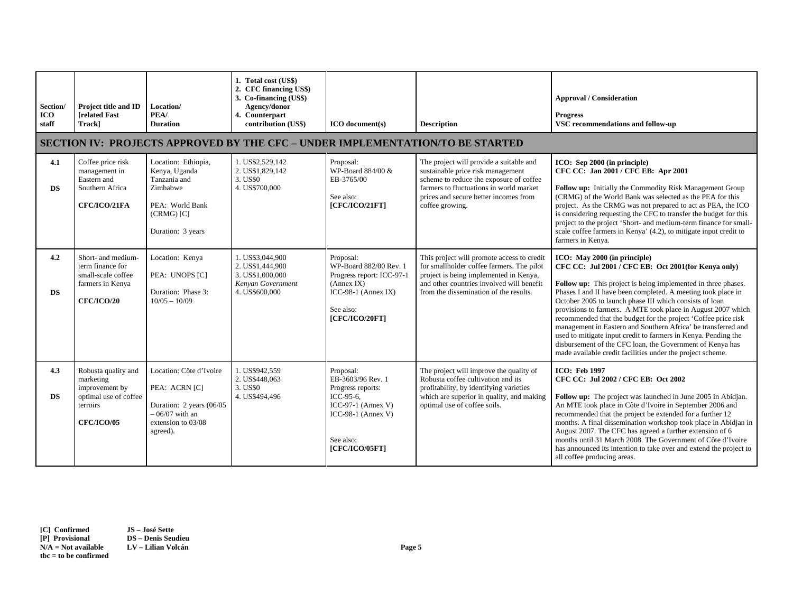| Section/<br><b>ICO</b><br>staff | Project title and ID<br><b>[related Fast</b><br>Trackl                                                       | Location/<br>PEA/<br><b>Duration</b>                                                                                        | 1. Total cost (US\$)<br>2. CFC financing US\$)<br>3. Co-financing (US\$)<br>Agency/donor<br>4. Counterpart<br>contribution (US\$) | $ICO$ document $(s)$                                                                                                                        | <b>Description</b><br><b>SECTION IV: PROJECTS APPROVED BY THE CFC - UNDER IMPLEMENTATION/TO BE STARTED</b>                                                                                                                     | <b>Approval / Consideration</b><br><b>Progress</b><br>VSC recommendations and follow-up                                                                                                                                                                                                                                                                                                                                                                                                                                                                                                                                                                                         |
|---------------------------------|--------------------------------------------------------------------------------------------------------------|-----------------------------------------------------------------------------------------------------------------------------|-----------------------------------------------------------------------------------------------------------------------------------|---------------------------------------------------------------------------------------------------------------------------------------------|--------------------------------------------------------------------------------------------------------------------------------------------------------------------------------------------------------------------------------|---------------------------------------------------------------------------------------------------------------------------------------------------------------------------------------------------------------------------------------------------------------------------------------------------------------------------------------------------------------------------------------------------------------------------------------------------------------------------------------------------------------------------------------------------------------------------------------------------------------------------------------------------------------------------------|
| 4.1<br><b>DS</b>                | Coffee price risk<br>management in<br>Eastern and<br>Southern Africa<br>CFC/ICO/21FA                         | Location: Ethiopia,<br>Kenya, Uganda<br>Tanzania and<br>Zimbabwe<br>PEA: World Bank<br>$(CRMG)$ $[C]$<br>Duration: 3 years  | 1. US\$2,529.142<br>2. US\$1,829,142<br>3. US\$0<br>4. US\$700,000                                                                | Proposal:<br>WP-Board 884/00 &<br>EB-3765/00<br>See also:<br>[CFC/ICO/21FT]                                                                 | The project will provide a suitable and<br>sustainable price risk management<br>scheme to reduce the exposure of coffee<br>farmers to fluctuations in world market<br>prices and secure better incomes from<br>coffee growing. | ICO: Sep 2000 (in principle)<br>CFC CC: Jan 2001 / CFC EB: Apr 2001<br>Follow up: Initially the Commodity Risk Management Group<br>(CRMG) of the World Bank was selected as the PEA for this<br>project. As the CRMG was not prepared to act as PEA, the ICO<br>is considering requesting the CFC to transfer the budget for this<br>project to the project 'Short- and medium-term finance for small-<br>scale coffee farmers in Kenya' (4.2), to mitigate input credit to<br>farmers in Kenya.                                                                                                                                                                                |
| 4.2<br><b>DS</b>                | Short- and medium-<br>term finance for<br>small-scale coffee<br>farmers in Kenya<br><b>CFC/ICO/20</b>        | Location: Kenya<br>PEA: UNOPS [C]<br>Duration: Phase 3:<br>$10/05 - 10/09$                                                  | 1. US\$3,044,900<br>2. US\$1,444,900<br>3. US\$1,000,000<br>Kenyan Government<br>4. US\$600,000                                   | Proposal:<br>WP-Board 882/00 Rev. 1<br>Progress report: ICC-97-1<br>(Annex IX)<br>$ICC-98-1 (Annex IX)$<br>See also:<br>[CFC/ICO/20FT]      | This project will promote access to credit<br>for smallholder coffee farmers. The pilot<br>project is being implemented in Kenya,<br>and other countries involved will benefit<br>from the dissemination of the results.       | ICO: May 2000 (in principle)<br>CFC CC: Jul 2001 / CFC EB: Oct 2001(for Kenya only)<br>Follow up: This project is being implemented in three phases.<br>Phases I and II have been completed. A meeting took place in<br>October 2005 to launch phase III which consists of loan<br>provisions to farmers. A MTE took place in August 2007 which<br>recommended that the budget for the project 'Coffee price risk<br>management in Eastern and Southern Africa' be transferred and<br>used to mitigate input credit to farmers in Kenya. Pending the<br>disbursement of the CFC loan, the Government of Kenya has<br>made available credit facilities under the project scheme. |
| 4.3<br><b>DS</b>                | Robusta quality and<br>marketing<br>improvement by<br>optimal use of coffee<br>terroirs<br><b>CFC/ICO/05</b> | Location: Côte d'Ivoire<br>PEA: ACRN [C]<br>Duration: 2 years (06/05)<br>$-06/07$ with an<br>extension to 03/08<br>agreed). | 1. US\$942,559<br>2. US\$448,063<br>3. US\$0<br>4. US\$494,496                                                                    | Proposal:<br>EB-3603/96 Rev. 1<br>Progress reports:<br>ICC-95-6,<br>ICC-97-1 (Annex V)<br>ICC-98-1 (Annex V)<br>See also:<br>[CFC/ICO/05FT] | The project will improve the quality of<br>Robusta coffee cultivation and its<br>profitability, by identifying varieties<br>which are superior in quality, and making<br>optimal use of coffee soils.                          | <b>ICO</b> : Feb 1997<br>CFC CC: Jul 2002 / CFC EB: Oct 2002<br>Follow up: The project was launched in June 2005 in Abidjan.<br>An MTE took place in Côte d'Ivoire in September 2006 and<br>recommended that the project be extended for a further 12<br>months. A final dissemination workshop took place in Abidjan in<br>August 2007. The CFC has agreed a further extension of 6<br>months until 31 March 2008. The Government of Côte d'Ivoire<br>has announced its intention to take over and extend the project to<br>all coffee producing areas.                                                                                                                        |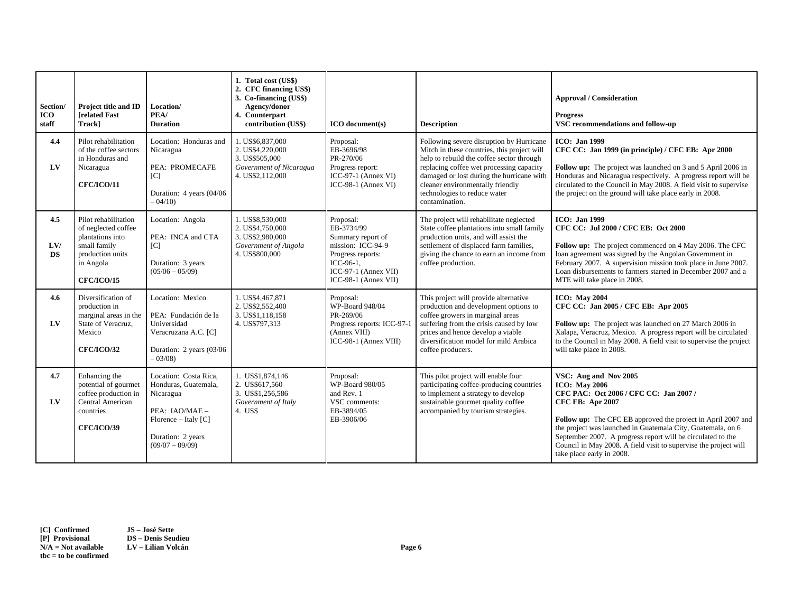| Section/<br><b>ICO</b><br>staff | Project title and ID<br><b>[related Fast</b><br>Trackl                                                                                | Location/<br>PEA/<br><b>Duration</b>                                                                                                             | 1. Total cost (US\$)<br>2. CFC financing US\$)<br>3. Co-financing (US\$)<br>Agency/donor<br>4. Counterpart<br>contribution (US\$) | <b>ICO</b> document(s)                                                                                                                                | <b>Description</b>                                                                                                                                                                                                                                                                                                  | <b>Approval / Consideration</b><br><b>Progress</b><br>VSC recommendations and follow-up                                                                                                                                                                                                                                                                                                                           |
|---------------------------------|---------------------------------------------------------------------------------------------------------------------------------------|--------------------------------------------------------------------------------------------------------------------------------------------------|-----------------------------------------------------------------------------------------------------------------------------------|-------------------------------------------------------------------------------------------------------------------------------------------------------|---------------------------------------------------------------------------------------------------------------------------------------------------------------------------------------------------------------------------------------------------------------------------------------------------------------------|-------------------------------------------------------------------------------------------------------------------------------------------------------------------------------------------------------------------------------------------------------------------------------------------------------------------------------------------------------------------------------------------------------------------|
| 4.4<br>LV                       | Pilot rehabilitation<br>of the coffee sectors<br>in Honduras and<br>Nicaragua<br><b>CFC/ICO/11</b>                                    | Location: Honduras and<br>Nicaragua<br>PEA: PROMECAFE<br> C <br>Duration: 4 years (04/06<br>$-04/10$                                             | 1. US\$6,837,000<br>2. US\$4,220,000<br>3. US\$505,000<br>Government of Nicaragua<br>4. US\$2,112,000                             | Proposal:<br>EB-3696/98<br>PR-270/06<br>Progress report:<br>$ICC-97-1 (Annex VI)$<br>$ICC-98-1 (Annex VI)$                                            | Following severe disruption by Hurricane<br>Mitch in these countries, this project will<br>help to rebuild the coffee sector through<br>replacing coffee wet processing capacity<br>damaged or lost during the hurricane with<br>cleaner environmentally friendly<br>technologies to reduce water<br>contamination. | <b>ICO</b> : Jan 1999<br>CFC CC: Jan 1999 (in principle) / CFC EB: Apr 2000<br>Follow up: The project was launched on 3 and 5 April 2006 in<br>Honduras and Nicaragua respectively. A progress report will be<br>circulated to the Council in May 2008. A field visit to supervise<br>the project on the ground will take place early in 2008.                                                                    |
| 4.5<br>LVI<br><b>DS</b>         | Pilot rehabilitation<br>of neglected coffee<br>plantations into<br>small family<br>production units<br>in Angola<br><b>CFC/ICO/15</b> | Location: Angola<br>PEA: INCA and CTA<br>[C]<br>Duration: 3 years<br>$(05/06 - 05/09)$                                                           | 1. US\$8,530,000<br>2. US\$4,750,000<br>3. US\$2,980,000<br>Government of Angola<br>4. US\$800,000                                | Proposal:<br>EB-3734/99<br>Summary report of<br>mission: ICC-94-9<br>Progress reports:<br>ICC-96-1.<br>ICC-97-1 (Annex VII)<br>$ICC-98-1 (Annex VII)$ | The project will rehabilitate neglected<br>State coffee plantations into small family<br>production units, and will assist the<br>settlement of displaced farm families,<br>giving the chance to earn an income from<br>coffee production.                                                                          | <b>ICO</b> : Jan 1999<br>CFC CC: Jul 2000 / CFC EB: Oct 2000<br>Follow up: The project commenced on 4 May 2006. The CFC<br>loan agreement was signed by the Angolan Government in<br>February 2007. A supervision mission took place in June 2007.<br>Loan disbursements to farmers started in December 2007 and a<br>MTE will take place in 2008.                                                                |
| 4.6<br>$L$ V                    | Diversification of<br>production in<br>marginal areas in the<br>State of Veracruz.<br>Mexico<br><b>CFC/ICO/32</b>                     | Location: Mexico<br>PEA: Fundación de la<br>Universidad<br>Veracruzana A.C. [C]<br>Duration: 2 years (03/06<br>$-03/08$                          | 1. US\$4,467,871<br>2. US\$2,552,400<br>3. US\$1,118,158<br>4. US\$797.313                                                        | Proposal:<br>WP-Board 948/04<br>PR-269/06<br>Progress reports: ICC-97-1<br>(Annex VIII)<br>ICC-98-1 (Annex VIII)                                      | This project will provide alternative<br>production and development options to<br>coffee growers in marginal areas<br>suffering from the crisis caused by low<br>prices and hence develop a viable<br>diversification model for mild Arabica<br>coffee producers.                                                   | <b>ICO: May 2004</b><br>CFC CC: Jan 2005 / CFC EB: Apr 2005<br>Follow up: The project was launched on 27 March 2006 in<br>Xalapa, Veracruz, Mexico. A progress report will be circulated<br>to the Council in May 2008. A field visit to supervise the project<br>will take place in 2008.                                                                                                                        |
| 4.7<br>LV                       | Enhancing the<br>potential of gourmet<br>coffee production in<br>Central American<br>countries<br><b>CFC/ICO/39</b>                   | Location: Costa Rica,<br>Honduras, Guatemala,<br>Nicaragua<br>PEA: IAO/MAE -<br>Florence – Italy $[C]$<br>Duration: 2 years<br>$(09/07 - 09/09)$ | 1. US\$1,874,146<br>2. US\$617,560<br>3. US\$1,256,586<br>Government of Italy<br>4. US\$                                          | Proposal:<br>WP-Board 980/05<br>and Rev. 1<br>VSC comments:<br>EB-3894/05<br>EB-3906/06                                                               | This pilot project will enable four<br>participating coffee-producing countries<br>to implement a strategy to develop<br>sustainable gourmet quality coffee<br>accompanied by tourism strategies.                                                                                                                   | VSC: Aug and Nov 2005<br><b>ICO: May 2006</b><br>CFC PAC: Oct 2006 / CFC CC: Jan 2007 /<br><b>CFC EB: Apr 2007</b><br>Follow up: The CFC EB approved the project in April 2007 and<br>the project was launched in Guatemala City, Guatemala, on 6<br>September 2007. A progress report will be circulated to the<br>Council in May 2008. A field visit to supervise the project will<br>take place early in 2008. |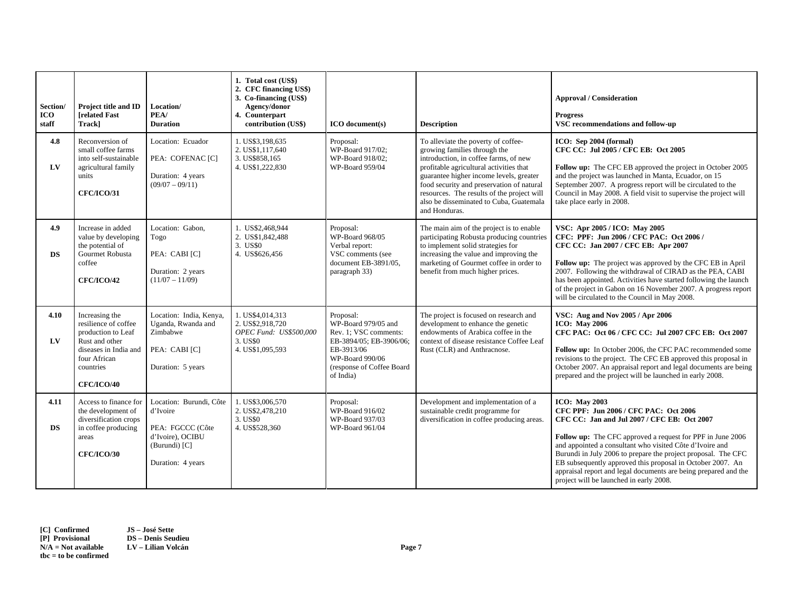| Section/<br><b>ICO</b><br>staff | Project title and ID<br><b>Irelated Fast</b><br>Track]                                                                                                    | Location/<br>PEA/<br><b>Duration</b>                                                                              | 1. Total cost (US\$)<br>2. CFC financing US\$)<br>3. Co-financing (US\$)<br>Agency/donor<br>4. Counterpart<br>contribution (US\$) | ICO document(s)                                                                                                                                                 | <b>Description</b>                                                                                                                                                                                                                                                                                                                                        | <b>Approval / Consideration</b><br><b>Progress</b><br>VSC recommendations and follow-up                                                                                                                                                                                                                                                                                                                                                                                             |
|---------------------------------|-----------------------------------------------------------------------------------------------------------------------------------------------------------|-------------------------------------------------------------------------------------------------------------------|-----------------------------------------------------------------------------------------------------------------------------------|-----------------------------------------------------------------------------------------------------------------------------------------------------------------|-----------------------------------------------------------------------------------------------------------------------------------------------------------------------------------------------------------------------------------------------------------------------------------------------------------------------------------------------------------|-------------------------------------------------------------------------------------------------------------------------------------------------------------------------------------------------------------------------------------------------------------------------------------------------------------------------------------------------------------------------------------------------------------------------------------------------------------------------------------|
| 4.8<br>LV                       | Reconversion of<br>small coffee farms<br>into self-sustainable<br>agricultural family<br>units<br><b>CFC/ICO/31</b>                                       | Location: Ecuador<br>PEA: COFENAC [C]<br>Duration: 4 years<br>$(09/07 - 09/11)$                                   | 1. US\$3,198,635<br>2. US\$1.117.640<br>3. US\$858,165<br>4. US\$1,222,830                                                        | Proposal:<br>WP-Board 917/02;<br>WP-Board 918/02;<br>WP-Board 959/04                                                                                            | To alleviate the poverty of coffee-<br>growing families through the<br>introduction, in coffee farms, of new<br>profitable agricultural activities that<br>guarantee higher income levels, greater<br>food security and preservation of natural<br>resources. The results of the project will<br>also be disseminated to Cuba, Guatemala<br>and Honduras. | ICO: Sep 2004 (formal)<br>CFC CC: Jul 2005 / CFC EB: Oct 2005<br>Follow up: The CFC EB approved the project in October 2005<br>and the project was launched in Manta, Ecuador, on 15<br>September 2007. A progress report will be circulated to the<br>Council in May 2008. A field visit to supervise the project will<br>take place early in 2008.                                                                                                                                |
| 4.9<br><b>DS</b>                | Increase in added<br>value by developing<br>the potential of<br>Gourmet Robusta<br>coffee<br><b>CFC/ICO/42</b>                                            | Location: Gabon.<br>Togo<br>PEA: CABI [C]<br>Duration: 2 years<br>$(11/07 - 11/09)$                               | 1. US\$2,468,944<br>2. US\$1,842,488<br>3. US\$0<br>4. US\$626,456                                                                | Proposal:<br>WP-Board 968/05<br>Verbal report:<br>VSC comments (see<br>document EB-3891/05,<br>paragraph 33)                                                    | The main aim of the project is to enable<br>participating Robusta producing countries<br>to implement solid strategies for<br>increasing the value and improving the<br>marketing of Gourmet coffee in order to<br>benefit from much higher prices.                                                                                                       | VSC: Apr 2005 / ICO: May 2005<br>CFC: PPF: Jun 2006 / CFC PAC: Oct 2006 /<br>CFC CC: Jan 2007 / CFC EB: Apr 2007<br>Follow up: The project was approved by the CFC EB in April<br>2007. Following the withdrawal of CIRAD as the PEA, CABI<br>has been appointed. Activities have started following the launch<br>of the project in Gabon on 16 November 2007. A progress report<br>will be circulated to the Council in May 2008.                                                  |
| 4.10<br>LV                      | Increasing the<br>resilience of coffee<br>production to Leaf<br>Rust and other<br>diseases in India and<br>four African<br>countries<br><b>CFC/ICO/40</b> | Location: India, Kenya,<br>Uganda, Rwanda and<br>Zimbabwe<br>PEA: CABI [C]<br>Duration: 5 years                   | 1. US\$4,014,313<br>2. US\$2,918,720<br>OPEC Fund: US\$500,000<br>3. US\$0<br>4. US\$1,095,593                                    | Proposal:<br>WP-Board 979/05 and<br>Rev. 1; VSC comments:<br>EB-3894/05: EB-3906/06:<br>EB-3913/06<br>WP-Board 990/06<br>(response of Coffee Board<br>of India) | The project is focused on research and<br>development to enhance the genetic<br>endowments of Arabica coffee in the<br>context of disease resistance Coffee Leaf<br>Rust (CLR) and Anthracnose.                                                                                                                                                           | VSC: Aug and Nov 2005 / Apr 2006<br><b>ICO: May 2006</b><br>CFC PAC: Oct 06 / CFC CC: Jul 2007 CFC EB: Oct 2007<br>Follow up: In October 2006, the CFC PAC recommended some<br>revisions to the project. The CFC EB approved this proposal in<br>October 2007. An appraisal report and legal documents are being<br>prepared and the project will be launched in early 2008.                                                                                                        |
| 4.11<br><b>DS</b>               | Access to finance for<br>the development of<br>diversification crops<br>in coffee producing<br>areas<br><b>CFC/ICO/30</b>                                 | Location: Burundi, Côte<br>d'Ivoire<br>PEA: FGCCC (Côte<br>d'Ivoire), OCIBU<br>(Burundi) [C]<br>Duration: 4 years | 1. US\$3,006,570<br>2. US\$2,478,210<br>3. US\$0<br>4. US\$528,360                                                                | Proposal:<br>WP-Board 916/02<br>WP-Board 937/03<br>WP-Board 961/04                                                                                              | Development and implementation of a<br>sustainable credit programme for<br>diversification in coffee producing areas.                                                                                                                                                                                                                                     | <b>ICO: May 2003</b><br>CFC PPF: Jun 2006 / CFC PAC: Oct 2006<br>CFC CC: Jan and Jul 2007 / CFC EB: Oct 2007<br>Follow up: The CFC approved a request for PPF in June 2006<br>and appointed a consultant who visited Côte d'Ivoire and<br>Burundi in July 2006 to prepare the project proposal. The CFC<br>EB subsequently approved this proposal in October 2007. An<br>appraisal report and legal documents are being prepared and the<br>project will be launched in early 2008. |

**[C] Confirmed JS – José Sette [P] Provisional DS – Denis Seudieu N/A = Not available LV – Lilian Volcán Page 7 tbc = to be confirmed**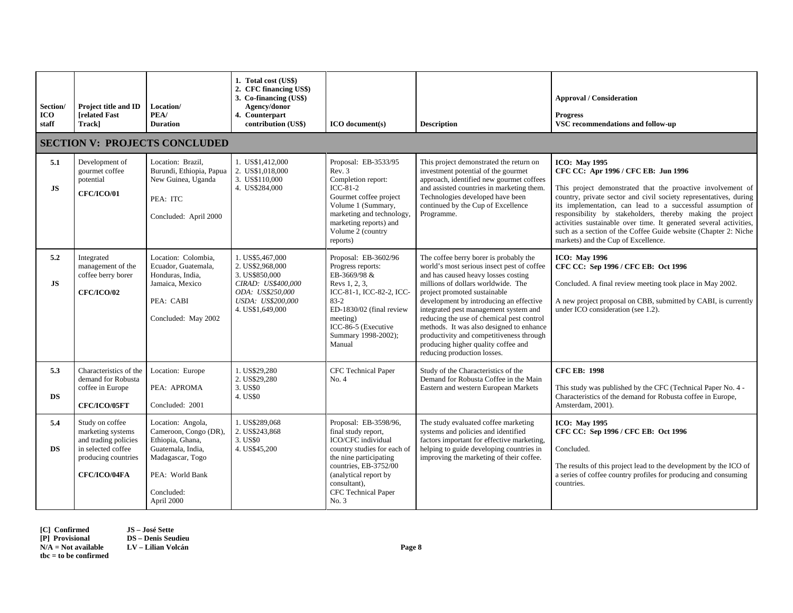| Section/<br>ICO<br>staff | <b>Project title and ID</b><br><b>related Fast</b><br>Track]                                                              | Location/<br>PEA/<br><b>Duration</b>                                                                                                                   | 1. Total cost (US\$)<br>2. CFC financing US\$)<br>3. Co-financing (US\$)<br>Agency/donor<br>4. Counterpart<br>contribution (US\$)         | <b>ICO</b> document(s)                                                                                                                                                                                                        | <b>Description</b>                                                                                                                                                                                                                                                                                                                                                                                                                                                                               | <b>Approval / Consideration</b><br><b>Progress</b><br>VSC recommendations and follow-up                                                                                                                                                                                                                                                                                                                                                                                                                     |
|--------------------------|---------------------------------------------------------------------------------------------------------------------------|--------------------------------------------------------------------------------------------------------------------------------------------------------|-------------------------------------------------------------------------------------------------------------------------------------------|-------------------------------------------------------------------------------------------------------------------------------------------------------------------------------------------------------------------------------|--------------------------------------------------------------------------------------------------------------------------------------------------------------------------------------------------------------------------------------------------------------------------------------------------------------------------------------------------------------------------------------------------------------------------------------------------------------------------------------------------|-------------------------------------------------------------------------------------------------------------------------------------------------------------------------------------------------------------------------------------------------------------------------------------------------------------------------------------------------------------------------------------------------------------------------------------------------------------------------------------------------------------|
|                          |                                                                                                                           | <b>SECTION V: PROJECTS CONCLUDED</b>                                                                                                                   |                                                                                                                                           |                                                                                                                                                                                                                               |                                                                                                                                                                                                                                                                                                                                                                                                                                                                                                  |                                                                                                                                                                                                                                                                                                                                                                                                                                                                                                             |
| 5.1<br><b>JS</b>         | Development of<br>gourmet coffee<br>potential<br><b>CFC/ICO/01</b>                                                        | Location: Brazil,<br>Burundi, Ethiopia, Papua<br>New Guinea, Uganda<br>PEA: ITC<br>Concluded: April 2000                                               | 1. US\$1,412,000<br>2. US\$1,018,000<br>3. US\$110,000<br>4. US\$284,000                                                                  | Proposal: EB-3533/95<br>Rev. 3<br>Completion report:<br>$ICC-81-2$<br>Gourmet coffee project<br>Volume 1 (Summary,<br>marketing and technology,<br>marketing reports) and<br>Volume 2 (country<br>reports)                    | This project demonstrated the return on<br>investment potential of the gourmet<br>approach, identified new gourmet coffees<br>and assisted countries in marketing them.<br>Technologies developed have been<br>continued by the Cup of Excellence<br>Programme.                                                                                                                                                                                                                                  | <b>ICO: May 1995</b><br>CFC CC: Apr 1996 / CFC EB: Jun 1996<br>This project demonstrated that the proactive involvement of<br>country, private sector and civil society representatives, during<br>its implementation, can lead to a successful assumption of<br>responsibility by stakeholders, thereby making the project<br>activities sustainable over time. It generated several activities,<br>such as a section of the Coffee Guide website (Chapter 2: Niche<br>markets) and the Cup of Excellence. |
| 5.2<br><b>JS</b>         | Integrated<br>management of the<br>coffee berry borer<br><b>CFC/ICO/02</b>                                                | Location: Colombia,<br>Ecuador, Guatemala,<br>Honduras, India,<br>Jamaica, Mexico<br>PEA: CABI<br>Concluded: May 2002                                  | 1. US\$5.467.000<br>2. US\$2,968,000<br>3. US\$850,000<br>CIRAD: US\$400,000<br>ODA: US\$250,000<br>USDA: US\$200,000<br>4. US\$1,649,000 | Proposal: EB-3602/96<br>Progress reports:<br>EB-3669/98 &<br>Revs 1, 2, 3,<br>ICC-81-1, ICC-82-2, ICC-<br>$83 - 2$<br>ED-1830/02 (final review<br>meeting)<br>ICC-86-5 (Executive<br>Summary 1998-2002);<br>Manual            | The coffee berry borer is probably the<br>world's most serious insect pest of coffee<br>and has caused heavy losses costing<br>millions of dollars worldwide. The<br>project promoted sustainable<br>development by introducing an effective<br>integrated pest management system and<br>reducing the use of chemical pest control<br>methods. It was also designed to enhance<br>productivity and competitiveness through<br>producing higher quality coffee and<br>reducing production losses. | <b>ICO: May 1996</b><br>CFC CC: Sep 1996 / CFC EB: Oct 1996<br>Concluded. A final review meeting took place in May 2002.<br>A new project proposal on CBB, submitted by CABI, is currently<br>under ICO consideration (see 1.2).                                                                                                                                                                                                                                                                            |
| 5.3<br><b>DS</b>         | Characteristics of the<br>demand for Robusta<br>coffee in Europe<br><b>CFC/ICO/05FT</b>                                   | Location: Europe<br>PEA: APROMA<br>Concluded: 2001                                                                                                     | 1. US\$29,280<br>2. US\$29,280<br>3. US\$0<br>4. US\$0                                                                                    | CFC Technical Paper<br>No. 4                                                                                                                                                                                                  | Study of the Characteristics of the<br>Demand for Robusta Coffee in the Main<br>Eastern and western European Markets                                                                                                                                                                                                                                                                                                                                                                             | <b>CFC EB: 1998</b><br>This study was published by the CFC (Technical Paper No. 4 -<br>Characteristics of the demand for Robusta coffee in Europe,<br>Amsterdam, 2001).                                                                                                                                                                                                                                                                                                                                     |
| 5.4<br><b>DS</b>         | Study on coffee<br>marketing systems<br>and trading policies<br>in selected coffee<br>producing countries<br>CFC/ICO/04FA | Location: Angola,<br>Cameroon, Congo (DR),<br>Ethiopia, Ghana,<br>Guatemala, India,<br>Madagascar, Togo<br>PEA: World Bank<br>Concluded:<br>April 2000 | 1. US\$289,068<br>2. US\$243,868<br>3. US\$0<br>4. US\$45,200                                                                             | Proposal: EB-3598/96,<br>final study report,<br>ICO/CFC individual<br>country studies for each of<br>the nine participating<br>countries, EB-3752/00<br>(analytical report by<br>consultant),<br>CFC Technical Paper<br>No. 3 | The study evaluated coffee marketing<br>systems and policies and identified<br>factors important for effective marketing,<br>helping to guide developing countries in<br>improving the marketing of their coffee.                                                                                                                                                                                                                                                                                | <b>ICO: May 1995</b><br>CFC CC: Sep 1996 / CFC EB: Oct 1996<br>Concluded.<br>The results of this project lead to the development by the ICO of<br>a series of coffee country profiles for producing and consuming<br>countries.                                                                                                                                                                                                                                                                             |

**[C] Confirmed JS – José Sette [P] Provisional DS – Denis Seudieu N/A = Not available LV – Lilian Volcán Page 8 tbc = to be confirmed**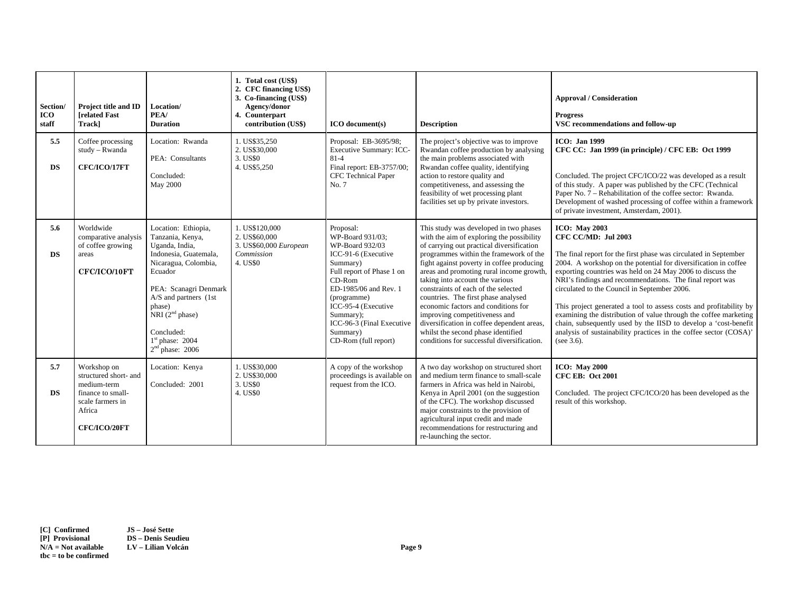| Section/<br><b>ICO</b><br>staff | Project title and ID<br><b>Irelated Fast</b><br>Track]                                                                 | Location/<br>PEA/<br><b>Duration</b>                                                                                                                                                                                                                           | 1. Total cost (US\$)<br>2. CFC financing US\$)<br>3. Co-financing (US\$)<br>Agency/donor<br>4. Counterpart<br>contribution (US\$) | ICO document(s)                                                                                                                                                                                                                                                           | <b>Description</b>                                                                                                                                                                                                                                                                                                                                                                                                                                                                                                                                                                             | <b>Approval / Consideration</b><br><b>Progress</b><br>VSC recommendations and follow-up                                                                                                                                                                                                                                                                                                                                                                                                                                                                                                                                                                         |
|---------------------------------|------------------------------------------------------------------------------------------------------------------------|----------------------------------------------------------------------------------------------------------------------------------------------------------------------------------------------------------------------------------------------------------------|-----------------------------------------------------------------------------------------------------------------------------------|---------------------------------------------------------------------------------------------------------------------------------------------------------------------------------------------------------------------------------------------------------------------------|------------------------------------------------------------------------------------------------------------------------------------------------------------------------------------------------------------------------------------------------------------------------------------------------------------------------------------------------------------------------------------------------------------------------------------------------------------------------------------------------------------------------------------------------------------------------------------------------|-----------------------------------------------------------------------------------------------------------------------------------------------------------------------------------------------------------------------------------------------------------------------------------------------------------------------------------------------------------------------------------------------------------------------------------------------------------------------------------------------------------------------------------------------------------------------------------------------------------------------------------------------------------------|
| 5.5<br><b>DS</b>                | Coffee processing<br>study - Rwanda<br>CFC/ICO/17FT                                                                    | Location: Rwanda<br>PEA: Consultants<br>Concluded:<br>May 2000                                                                                                                                                                                                 | 1. US\$35,250<br>2. US\$30,000<br>3. US\$0<br>4. US\$5,250                                                                        | Proposal: EB-3695/98;<br>Executive Summary: ICC-<br>$81 - 4$<br>Final report: EB-3757/00;<br>CFC Technical Paper<br>No. 7                                                                                                                                                 | The project's objective was to improve<br>Rwandan coffee production by analysing<br>the main problems associated with<br>Rwandan coffee quality, identifying<br>action to restore quality and<br>competitiveness, and assessing the<br>feasibility of wet processing plant<br>facilities set up by private investors.                                                                                                                                                                                                                                                                          | <b>ICO</b> : Jan 1999<br>CFC CC: Jan 1999 (in principle) / CFC EB: Oct 1999<br>Concluded. The project CFC/ICO/22 was developed as a result<br>of this study. A paper was published by the CFC (Technical<br>Paper No. 7 – Rehabilitation of the coffee sector: Rwanda.<br>Development of washed processing of coffee within a framework<br>of private investment, Amsterdam, 2001).                                                                                                                                                                                                                                                                             |
| 5.6<br><b>DS</b>                | Worldwide<br>comparative analysis<br>of coffee growing<br>areas<br>CFC/ICO/10FT                                        | Location: Ethiopia,<br>Tanzania, Kenya,<br>Uganda, India,<br>Indonesia, Guatemala,<br>Nicaragua, Colombia,<br>Ecuador<br>PEA: Scanagri Denmark<br>A/S and partners (1st<br>phase)<br>NRI $(2nd phase)$<br>Concluded:<br>$1st$ phase: 2004<br>$2nd$ phase: 2006 | 1. US\$120,000<br>2. US\$60,000<br>3. US\$60,000 European<br>Commission<br>4. US\$0                                               | Proposal:<br>WP-Board 931/03:<br>WP-Board 932/03<br>ICC-91-6 (Executive<br>Summary)<br>Full report of Phase 1 on<br>$CD-Rom$<br>ED-1985/06 and Rev. 1<br>(programme)<br>ICC-95-4 (Executive<br>Summary);<br>ICC-96-3 (Final Executive<br>Summary)<br>CD-Rom (full report) | This study was developed in two phases<br>with the aim of exploring the possibility<br>of carrying out practical diversification<br>programmes within the framework of the<br>fight against poverty in coffee producing<br>areas and promoting rural income growth,<br>taking into account the various<br>constraints of each of the selected<br>countries. The first phase analysed<br>economic factors and conditions for<br>improving competitiveness and<br>diversification in coffee dependent areas,<br>whilst the second phase identified<br>conditions for successful diversification. | <b>ICO: May 2003</b><br>CFC CC/MD: Jul 2003<br>The final report for the first phase was circulated in September<br>2004. A workshop on the potential for diversification in coffee<br>exporting countries was held on 24 May 2006 to discuss the<br>NRI's findings and recommendations. The final report was<br>circulated to the Council in September 2006.<br>This project generated a tool to assess costs and profitability by<br>examining the distribution of value through the coffee marketing<br>chain, subsequently used by the IISD to develop a 'cost-benefit<br>analysis of sustainability practices in the coffee sector (COSA)'<br>(see $3.6$ ). |
| 5.7<br><b>DS</b>                | Workshop on<br>structured short- and<br>medium-term<br>finance to small-<br>scale farmers in<br>Africa<br>CFC/ICO/20FT | Location: Kenya<br>Concluded: 2001                                                                                                                                                                                                                             | 1. US\$30,000<br>2. US\$30,000<br>3. US\$0<br>4. US\$0                                                                            | A copy of the workshop<br>proceedings is available on<br>request from the ICO.                                                                                                                                                                                            | A two day workshop on structured short<br>and medium term finance to small-scale<br>farmers in Africa was held in Nairobi,<br>Kenya in April 2001 (on the suggestion<br>of the CFC). The workshop discussed<br>major constraints to the provision of<br>agricultural input credit and made<br>recommendations for restructuring and<br>re-launching the sector.                                                                                                                                                                                                                                | <b>ICO: May 2000</b><br><b>CFC EB: Oct 2001</b><br>Concluded. The project CFC/ICO/20 has been developed as the<br>result of this workshop.                                                                                                                                                                                                                                                                                                                                                                                                                                                                                                                      |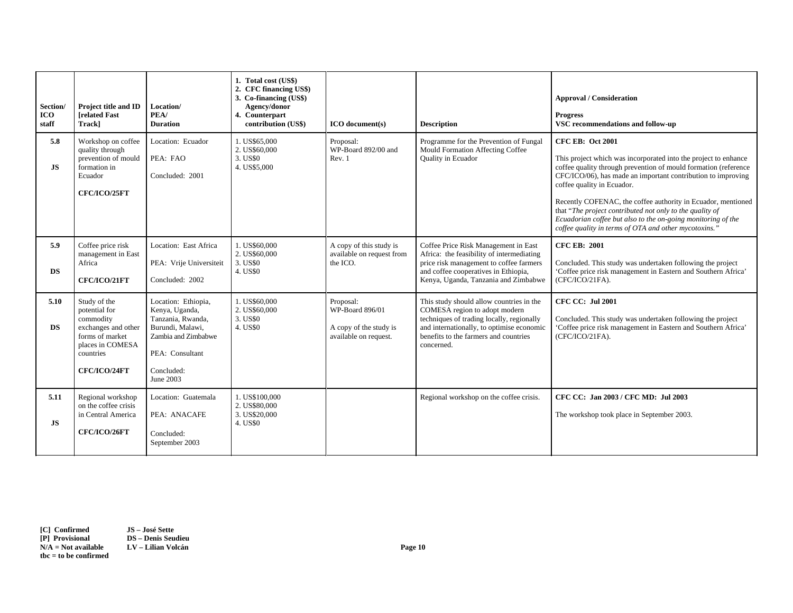| Section/<br><b>ICO</b><br>staff | Project title and ID<br><b>[related Fast</b><br>Track]                                                                                | Location/<br>PEA/<br><b>Duration</b>                                                                                                                | 1. Total cost (US\$)<br>2. CFC financing US\$)<br>3. Co-financing (US\$)<br>Agency/donor<br>4. Counterpart<br>contribution (US\$) | ICO document(s)                                                                 | <b>Description</b>                                                                                                                                                                                                         | <b>Approval / Consideration</b><br><b>Progress</b><br>VSC recommendations and follow-up                                                                                                                                                                                                                                                                                                                                                                                                                          |
|---------------------------------|---------------------------------------------------------------------------------------------------------------------------------------|-----------------------------------------------------------------------------------------------------------------------------------------------------|-----------------------------------------------------------------------------------------------------------------------------------|---------------------------------------------------------------------------------|----------------------------------------------------------------------------------------------------------------------------------------------------------------------------------------------------------------------------|------------------------------------------------------------------------------------------------------------------------------------------------------------------------------------------------------------------------------------------------------------------------------------------------------------------------------------------------------------------------------------------------------------------------------------------------------------------------------------------------------------------|
| 5.8<br><b>JS</b>                | Workshop on coffee<br>quality through<br>prevention of mould<br>formation in<br>Ecuador<br>CFC/ICO/25FT                               | Location: Ecuador<br>PEA: FAO<br>Concluded: 2001                                                                                                    | 1. US\$65,000<br>2. US\$60,000<br>3. US\$0<br>4. US\$5,000                                                                        | Proposal:<br>WP-Board 892/00 and<br>Rev. 1                                      | Programme for the Prevention of Fungal<br>Mould Formation Affecting Coffee<br>Quality in Ecuador                                                                                                                           | <b>CFC EB: Oct 2001</b><br>This project which was incorporated into the project to enhance<br>coffee quality through prevention of mould formation (reference<br>CFC/ICO/06), has made an important contribution to improving<br>coffee quality in Ecuador.<br>Recently COFENAC, the coffee authority in Ecuador, mentioned<br>that "The project contributed not only to the quality of<br>Ecuadorian coffee but also to the on-going monitoring of the<br>coffee quality in terms of OTA and other mycotoxins." |
| 5.9<br><b>DS</b>                | Coffee price risk<br>management in East<br>Africa<br>CFC/ICO/21FT                                                                     | Location: East Africa<br>PEA: Vrije Universiteit<br>Concluded: 2002                                                                                 | 1. US\$60,000<br>2. US\$60,000<br>3. US\$0<br>4. US\$0                                                                            | A copy of this study is<br>available on request from<br>the ICO.                | Coffee Price Risk Management in East<br>Africa: the feasibility of intermediating<br>price risk management to coffee farmers<br>and coffee cooperatives in Ethiopia,<br>Kenya, Uganda, Tanzania and Zimbabwe               | <b>CFC EB: 2001</b><br>Concluded. This study was undertaken following the project<br>'Coffee price risk management in Eastern and Southern Africa'<br>(CFC/ICO/21FA).                                                                                                                                                                                                                                                                                                                                            |
| 5.10<br><b>DS</b>               | Study of the<br>potential for<br>commodity<br>exchanges and other<br>forms of market<br>places in COMESA<br>countries<br>CFC/ICO/24FT | Location: Ethiopia,<br>Kenya, Uganda,<br>Tanzania, Rwanda,<br>Burundi, Malawi,<br>Zambia and Zimbabwe<br>PEA: Consultant<br>Concluded:<br>June 2003 | 1. US\$60,000<br>2. US\$60,000<br>3. US\$0<br>4. US\$0                                                                            | Proposal:<br>WP-Board 896/01<br>A copy of the study is<br>available on request. | This study should allow countries in the<br>COMESA region to adopt modern<br>techniques of trading locally, regionally<br>and internationally, to optimise economic<br>benefits to the farmers and countries<br>concerned. | <b>CFC CC: Jul 2001</b><br>Concluded. This study was undertaken following the project<br>'Coffee price risk management in Eastern and Southern Africa'<br>(CFC/ICO/21FA).                                                                                                                                                                                                                                                                                                                                        |
| 5.11<br>JS                      | Regional workshop<br>on the coffee crisis<br>in Central America<br>CFC/ICO/26FT                                                       | Location: Guatemala<br>PEA: ANACAFE<br>Concluded:<br>September 2003                                                                                 | 1. US\$100,000<br>2. US\$80,000<br>3. US\$20,000<br>4. US\$0                                                                      |                                                                                 | Regional workshop on the coffee crisis.                                                                                                                                                                                    | CFC CC: Jan 2003 / CFC MD: Jul 2003<br>The workshop took place in September 2003.                                                                                                                                                                                                                                                                                                                                                                                                                                |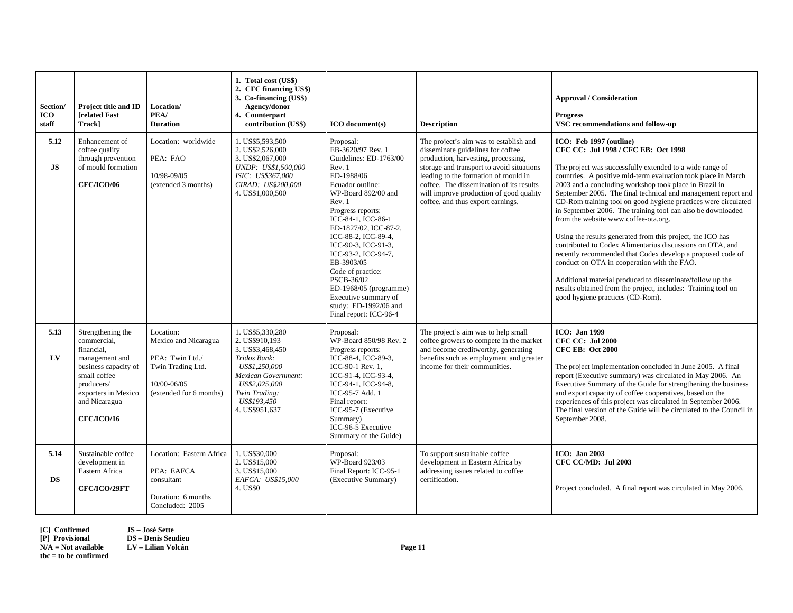| Section/<br><b>ICO</b><br>staff | Project title and ID<br><b>Irelated Fast</b><br>Trackl                                                                                                                              | Location/<br>PEA/<br><b>Duration</b>                                                                                | 1. Total cost (US\$)<br>2. CFC financing US\$)<br>3. Co-financing (US\$)<br>Agency/donor<br>4. Counterpart<br>contribution (US\$)                                                 | ICO document(s)                                                                                                                                                                                                                                                                                                                                                                                                                      | <b>Description</b>                                                                                                                                                                                                                                                                                                                  | <b>Approval / Consideration</b><br><b>Progress</b><br>VSC recommendations and follow-up                                                                                                                                                                                                                                                                                                                                                                                                                                                                                                                                                                                                                                                                                                                                                                                                                   |
|---------------------------------|-------------------------------------------------------------------------------------------------------------------------------------------------------------------------------------|---------------------------------------------------------------------------------------------------------------------|-----------------------------------------------------------------------------------------------------------------------------------------------------------------------------------|--------------------------------------------------------------------------------------------------------------------------------------------------------------------------------------------------------------------------------------------------------------------------------------------------------------------------------------------------------------------------------------------------------------------------------------|-------------------------------------------------------------------------------------------------------------------------------------------------------------------------------------------------------------------------------------------------------------------------------------------------------------------------------------|-----------------------------------------------------------------------------------------------------------------------------------------------------------------------------------------------------------------------------------------------------------------------------------------------------------------------------------------------------------------------------------------------------------------------------------------------------------------------------------------------------------------------------------------------------------------------------------------------------------------------------------------------------------------------------------------------------------------------------------------------------------------------------------------------------------------------------------------------------------------------------------------------------------|
| 5.12<br>JS                      | Enhancement of<br>coffee quality<br>through prevention<br>of mould formation<br><b>CFC/ICO/06</b>                                                                                   | Location: worldwide<br>PEA: FAO<br>10/98-09/05<br>(extended 3 months)                                               | 1. US\$5,593,500<br>2. US\$2,526,000<br>3. US\$2,067,000<br>UNDP: US\$1,500,000<br>ISIC: US\$367.000<br>CIRAD: US\$200,000<br>4. US\$1,000,500                                    | Proposal:<br>EB-3620/97 Rev. 1<br>Guidelines: ED-1763/00<br>Rev. 1<br>ED-1988/06<br>Ecuador outline:<br>WP-Board 892/00 and<br>Rev. 1<br>Progress reports:<br>ICC-84-1, ICC-86-1<br>ED-1827/02, ICC-87-2,<br>ICC-88-2, ICC-89-4,<br>ICC-90-3, ICC-91-3,<br>ICC-93-2, ICC-94-7,<br>EB-3903/05<br>Code of practice:<br>PSCB-36/02<br>ED-1968/05 (programme)<br>Executive summary of<br>study: ED-1992/06 and<br>Final report: ICC-96-4 | The project's aim was to establish and<br>disseminate guidelines for coffee<br>production, harvesting, processing,<br>storage and transport to avoid situations<br>leading to the formation of mould in<br>coffee. The dissemination of its results<br>will improve production of good quality<br>coffee, and thus export earnings. | ICO: Feb 1997 (outline)<br>CFC CC: Jul 1998 / CFC EB: Oct 1998<br>The project was successfully extended to a wide range of<br>countries. A positive mid-term evaluation took place in March<br>2003 and a concluding workshop took place in Brazil in<br>September 2005. The final technical and management report and<br>CD-Rom training tool on good hygiene practices were circulated<br>in September 2006. The training tool can also be downloaded<br>from the website www.coffee-ota.org.<br>Using the results generated from this project, the ICO has<br>contributed to Codex Alimentarius discussions on OTA, and<br>recently recommended that Codex develop a proposed code of<br>conduct on OTA in cooperation with the FAO.<br>Additional material produced to disseminate/follow up the<br>results obtained from the project, includes: Training tool on<br>good hygiene practices (CD-Rom). |
| 5.13<br>LV                      | Strengthening the<br>commercial,<br>financial,<br>management and<br>business capacity of<br>small coffee<br>producers/<br>exporters in Mexico<br>and Nicaragua<br><b>CFC/ICO/16</b> | Location:<br>Mexico and Nicaragua<br>PEA: Twin Ltd./<br>Twin Trading Ltd.<br>10/00-06/05<br>(extended for 6 months) | 1. US\$5,330,280<br>2. US\$910,193<br>3. US\$3,468,450<br>Tridos Bank:<br>US\$1,250,000<br>Mexican Government:<br>US\$2,025,000<br>Twin Trading:<br>US\$193,450<br>4. US\$951,637 | Proposal:<br>WP-Board 850/98 Rev. 2<br>Progress reports:<br>ICC-88-4, ICC-89-3,<br>ICC-90-1 Rev. 1.<br>ICC-91-4, ICC-93-4,<br>ICC-94-1, ICC-94-8,<br>ICC-95-7 Add. 1<br>Final report:<br>ICC-95-7 (Executive<br>Summary)<br>ICC-96-5 Executive<br>Summary of the Guide)                                                                                                                                                              | The project's aim was to help small<br>coffee growers to compete in the market<br>and become creditworthy, generating<br>benefits such as employment and greater<br>income for their communities.                                                                                                                                   | <b>ICO</b> : Jan 1999<br><b>CFC CC: Jul 2000</b><br><b>CFC EB: Oct 2000</b><br>The project implementation concluded in June 2005. A final<br>report (Executive summary) was circulated in May 2006. An<br>Executive Summary of the Guide for strengthening the business<br>and export capacity of coffee cooperatives, based on the<br>experiences of this project was circulated in September 2006.<br>The final version of the Guide will be circulated to the Council in<br>September 2008.                                                                                                                                                                                                                                                                                                                                                                                                            |
| 5.14<br><b>DS</b>               | Sustainable coffee<br>development in<br>Eastern Africa<br>CFC/ICO/29FT                                                                                                              | Location: Eastern Africa<br>PEA: EAFCA<br>consultant<br>Duration: 6 months<br>Concluded: 2005                       | 1. US\$30,000<br>2. US\$15,000<br>3. US\$15,000<br>EAFCA: US\$15,000<br>4. US\$0                                                                                                  | Proposal:<br>WP-Board 923/03<br>Final Report: ICC-95-1<br>(Executive Summary)                                                                                                                                                                                                                                                                                                                                                        | To support sustainable coffee<br>development in Eastern Africa by<br>addressing issues related to coffee<br>certification.                                                                                                                                                                                                          | <b>ICO: Jan 2003</b><br>CFC CC/MD: Jul 2003<br>Project concluded. A final report was circulated in May 2006.                                                                                                                                                                                                                                                                                                                                                                                                                                                                                                                                                                                                                                                                                                                                                                                              |

**[C] Confirmed JS – José Sette**

**[P] Provisional DS – Denis Seudieu** 

**N/A = Not available LV – Lilian Volcán Page 11** 

**tbc = to be confirmed**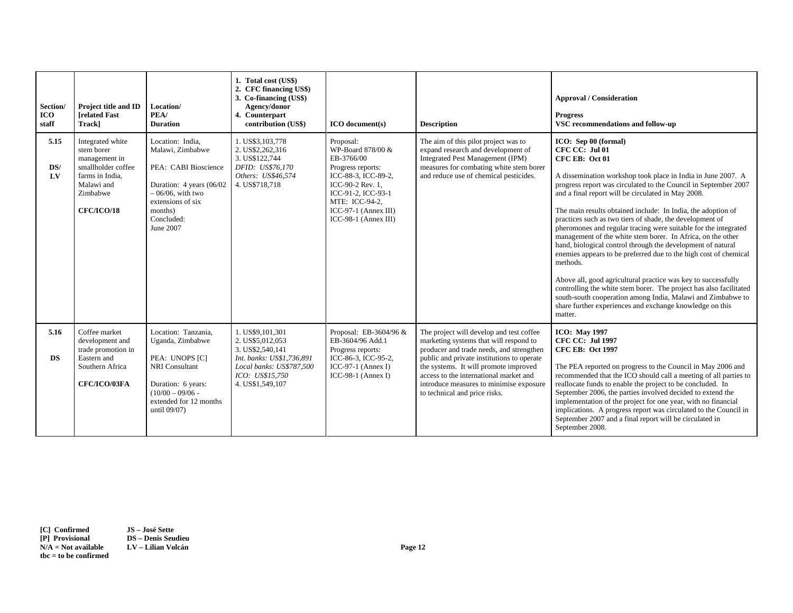| Section/<br>ICO<br>staff | Project title and ID<br><b>Irelated Fast</b><br>Track]                                                                                  | Location/<br>PEA/<br><b>Duration</b>                                                                                                                                       | 1. Total cost (US\$)<br>2. CFC financing US\$)<br>3. Co-financing (US\$)<br>Agency/donor<br>4. Counterpart<br>contribution (US\$)                        | ICO document(s)                                                                                                                                                                                          | <b>Description</b>                                                                                                                                                                                                                                                                                                                          | <b>Approval / Consideration</b><br><b>Progress</b><br>VSC recommendations and follow-up                                                                                                                                                                                                                                                                                                                                                                                                                                                                                                                                                                                                                                                                                                                                                                                                                                                     |
|--------------------------|-----------------------------------------------------------------------------------------------------------------------------------------|----------------------------------------------------------------------------------------------------------------------------------------------------------------------------|----------------------------------------------------------------------------------------------------------------------------------------------------------|----------------------------------------------------------------------------------------------------------------------------------------------------------------------------------------------------------|---------------------------------------------------------------------------------------------------------------------------------------------------------------------------------------------------------------------------------------------------------------------------------------------------------------------------------------------|---------------------------------------------------------------------------------------------------------------------------------------------------------------------------------------------------------------------------------------------------------------------------------------------------------------------------------------------------------------------------------------------------------------------------------------------------------------------------------------------------------------------------------------------------------------------------------------------------------------------------------------------------------------------------------------------------------------------------------------------------------------------------------------------------------------------------------------------------------------------------------------------------------------------------------------------|
| 5.15<br>DS/<br>LV        | Integrated white<br>stem borer<br>management in<br>smallholder coffee<br>farms in India.<br>Malawi and<br>Zimbabwe<br><b>CFC/ICO/18</b> | Location: India.<br>Malawi, Zimbabwe<br>PEA: CABI Bioscience<br>Duration: 4 years (06/02<br>$-06/06$ , with two<br>extensions of six<br>months)<br>Concluded:<br>June 2007 | 1. US\$3.103.778<br>2. US\$2,262,316<br>3. US\$122,744<br>DFID: US\$76,170<br>Others: US\$46,574<br>4. US\$718,718                                       | Proposal:<br>WP-Board 878/00 &<br>EB-3766/00<br>Progress reports:<br>ICC-88-3, ICC-89-2.<br>ICC-90-2 Rev. 1.<br>ICC-91-2, ICC-93-1<br>MTE: ICC-94-2,<br>$ICC-97-1 (Annex III)$<br>$ICC-98-1 (Annex III)$ | The aim of this pilot project was to<br>expand research and development of<br>Integrated Pest Management (IPM)<br>measures for combating white stem borer<br>and reduce use of chemical pesticides.                                                                                                                                         | ICO: Sep 00 (formal)<br>CFC CC: Jul 01<br>CFC EB: Oct 01<br>A dissemination workshop took place in India in June 2007. A<br>progress report was circulated to the Council in September 2007<br>and a final report will be circulated in May 2008.<br>The main results obtained include: In India, the adoption of<br>practices such as two tiers of shade, the development of<br>pheromones and regular tracing were suitable for the integrated<br>management of the white stem borer. In Africa, on the other<br>hand, biological control through the development of natural<br>enemies appears to be preferred due to the high cost of chemical<br>methods.<br>Above all, good agricultural practice was key to successfully<br>controlling the white stem borer. The project has also facilitated<br>south-south cooperation among India, Malawi and Zimbabwe to<br>share further experiences and exchange knowledge on this<br>matter. |
| 5.16<br><b>DS</b>        | Coffee market<br>development and<br>trade promotion in<br>Eastern and<br>Southern Africa<br>CFC/ICO/03FA                                | Location: Tanzania.<br>Uganda, Zimbabwe<br>PEA: UNOPS [C]<br>NRI Consultant<br>Duration: 6 years:<br>$(10/00 - 09/06 -$<br>extended for 12 months<br>until 09/07)          | 1. US\$9.101.301<br>2. US\$5,012,053<br>3. US\$2,540,141<br>Int. banks: US\$1,736,891<br>Local banks: US\$787,500<br>ICO: US\$15.750<br>4. US\$1,549,107 | Proposal: EB-3604/96 &<br>EB-3604/96 Add.1<br>Progress reports:<br>ICC-86-3, ICC-95-2,<br>ICC-97-1 (Annex I)<br>ICC-98-1 (Annex I)                                                                       | The project will develop and test coffee<br>marketing systems that will respond to<br>producer and trade needs, and strengthen<br>public and private institutions to operate<br>the systems. It will promote improved<br>access to the international market and<br>introduce measures to minimise exposure<br>to technical and price risks. | <b>ICO: May 1997</b><br><b>CFC CC: Jul 1997</b><br><b>CFC EB: Oct 1997</b><br>The PEA reported on progress to the Council in May 2006 and<br>recommended that the ICO should call a meeting of all parties to<br>reallocate funds to enable the project to be concluded. In<br>September 2006, the parties involved decided to extend the<br>implementation of the project for one year, with no financial<br>implications. A progress report was circulated to the Council in<br>September 2007 and a final report will be circulated in<br>September 2008.                                                                                                                                                                                                                                                                                                                                                                                |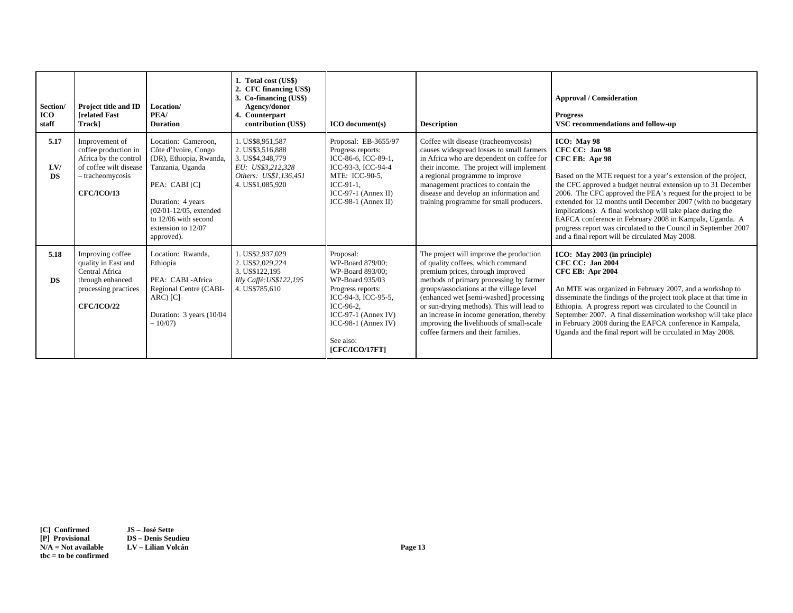| Section/<br>ICO<br>staff | Project title and ID<br><b>Irelated Fast</b><br>Trackl                                                                             | Location/<br>PEA/<br><b>Duration</b>                                                                                                                                                                                       | 1. Total cost (US\$)<br>2. CFC financing US\$)<br>3. Co-financing (US\$)<br>Agency/donor<br>4. Counterpart<br>contribution (US\$) | <b>ICO</b> document(s)                                                                                                                                                                                         | <b>Description</b>                                                                                                                                                                                                                                                                                                                                                                                                            | <b>Approval / Consideration</b><br><b>Progress</b><br>VSC recommendations and follow-up                                                                                                                                                                                                                                                                                                                                                                                                                                                                               |
|--------------------------|------------------------------------------------------------------------------------------------------------------------------------|----------------------------------------------------------------------------------------------------------------------------------------------------------------------------------------------------------------------------|-----------------------------------------------------------------------------------------------------------------------------------|----------------------------------------------------------------------------------------------------------------------------------------------------------------------------------------------------------------|-------------------------------------------------------------------------------------------------------------------------------------------------------------------------------------------------------------------------------------------------------------------------------------------------------------------------------------------------------------------------------------------------------------------------------|-----------------------------------------------------------------------------------------------------------------------------------------------------------------------------------------------------------------------------------------------------------------------------------------------------------------------------------------------------------------------------------------------------------------------------------------------------------------------------------------------------------------------------------------------------------------------|
| 5.17<br>LVI<br><b>DS</b> | Improvement of<br>coffee production in<br>Africa by the control<br>of coffee wilt disease<br>- tracheomycosis<br><b>CFC/ICO/13</b> | Location: Cameroon.<br>Côte d'Ivoire, Congo<br>(DR), Ethiopia, Rwanda,<br>Tanzania, Uganda<br>PEA: CABI [C]<br>Duration: 4 years<br>$(02/01 - 12/05,$ extended<br>to 12/06 with second<br>extension to 12/07<br>approved). | 1. US\$8,951,587<br>2. US\$3,516,888<br>3. US\$4,348,779<br>EU: US\$3,212,328<br>Others: US\$1,136,451<br>4. US\$1,085,920        | Proposal: EB-3655/97<br>Progress reports:<br>ICC-86-6, ICC-89-1,<br>ICC-93-3, ICC-94-4<br>MTE: ICC-90-5.<br>$ICC-91-1.$<br>$ICC-97-1$ (Annex II)<br>$ICC-98-1 (Annex II)$                                      | Coffee wilt disease (tracheomycosis)<br>causes widespread losses to small farmers<br>in Africa who are dependent on coffee for<br>their income. The project will implement<br>a regional programme to improve<br>management practices to contain the<br>disease and develop an information and<br>training programme for small producers.                                                                                     | ICO: May 98<br>CFC CC: Jan 98<br>CFC EB: Apr 98<br>Based on the MTE request for a year's extension of the project,<br>the CFC approved a budget neutral extension up to 31 December<br>2006. The CFC approved the PEA's request for the project to be<br>extended for 12 months until December 2007 (with no budgetary<br>implications). A final workshop will take place during the<br>EAFCA conference in February 2008 in Kampala, Uganda. A<br>progress report was circulated to the Council in September 2007<br>and a final report will be circulated May 2008. |
| 5.18<br><b>DS</b>        | Improving coffee<br>quality in East and<br>Central Africa<br>through enhanced<br>processing practices<br><b>CFC/ICO/22</b>         | Location: Rwanda,<br>Ethiopia<br>PEA: CABI-Africa<br>Regional Centre (CABI-<br>ARC) [C]<br>Duration: 3 years (10/04)<br>$-10/07$                                                                                           | 1. US\$2,937,029<br>2. US\$2,029,224<br>3. US\$122,195<br>Illy Caffè: US\$122,195<br>4. US\$785,610                               | Proposal:<br>WP-Board 879/00:<br>WP-Board 893/00:<br>WP-Board 935/03<br>Progress reports:<br>ICC-94-3, ICC-95-5,<br>ICC-96-2.<br>$ICC-97-1 (Annex IV)$<br>$ICC-98-1 (Annex IV)$<br>See also:<br>[CFC/ICO/17FT] | The project will improve the production<br>of quality coffees, which command<br>premium prices, through improved<br>methods of primary processing by farmer<br>groups/associations at the village level<br>(enhanced wet [semi-washed] processing<br>or sun-drying methods). This will lead to<br>an increase in income generation, thereby<br>improving the livelihoods of small-scale<br>coffee farmers and their families. | ICO: May 2003 (in principle)<br><b>CFC CC: Jan 2004</b><br><b>CFC EB: Apr 2004</b><br>An MTE was organized in February 2007, and a workshop to<br>disseminate the findings of the project took place at that time in<br>Ethiopia. A progress report was circulated to the Council in<br>September 2007. A final dissemination workshop will take place<br>in February 2008 during the EAFCA conference in Kampala,<br>Uganda and the final report will be circulated in May 2008.                                                                                     |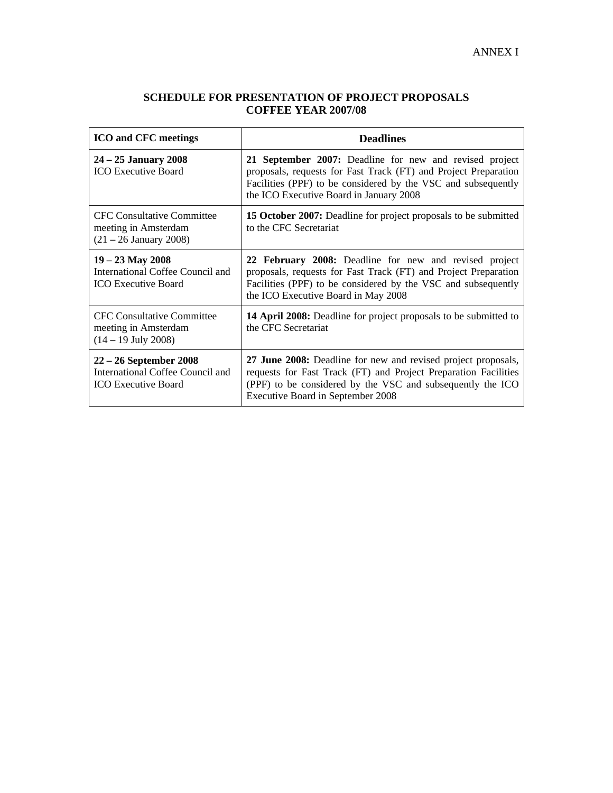# **SCHEDULE FOR PRESENTATION OF PROJECT PROPOSALS COFFEE YEAR 2007/08**

| <b>ICO</b> and CFC meetings                                                                | <b>Deadlines</b>                                                                                                                                                                                                                       |  |
|--------------------------------------------------------------------------------------------|----------------------------------------------------------------------------------------------------------------------------------------------------------------------------------------------------------------------------------------|--|
| $24 - 25$ January 2008<br><b>ICO</b> Executive Board                                       | 21 September 2007: Deadline for new and revised project<br>proposals, requests for Fast Track (FT) and Project Preparation<br>Facilities (PPF) to be considered by the VSC and subsequently<br>the ICO Executive Board in January 2008 |  |
| <b>CFC Consultative Committee</b><br>meeting in Amsterdam<br>(21 – 26 January 2008)        | <b>15 October 2007:</b> Deadline for project proposals to be submitted<br>to the CFC Secretariat                                                                                                                                       |  |
| $19 - 23$ May 2008<br>International Coffee Council and<br><b>ICO</b> Executive Board       | 22 February 2008: Deadline for new and revised project<br>proposals, requests for Fast Track (FT) and Project Preparation<br>Facilities (PPF) to be considered by the VSC and subsequently<br>the ICO Executive Board in May 2008      |  |
| <b>CFC Consultative Committee</b><br>meeting in Amsterdam<br>$(14 - 19$ July 2008)         | 14 April 2008: Deadline for project proposals to be submitted to<br>the CFC Secretariat                                                                                                                                                |  |
| $22 - 26$ September 2008<br>International Coffee Council and<br><b>ICO</b> Executive Board | 27 June 2008: Deadline for new and revised project proposals,<br>requests for Fast Track (FT) and Project Preparation Facilities<br>(PPF) to be considered by the VSC and subsequently the ICO<br>Executive Board in September 2008    |  |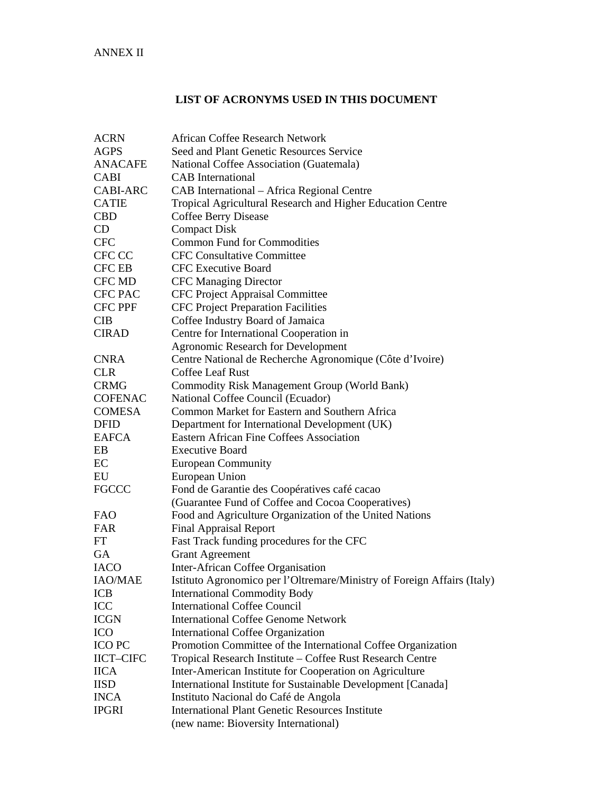## **LIST OF ACRONYMS USED IN THIS DOCUMENT**

| <b>ACRN</b>      | <b>African Coffee Research Network</b>                                  |  |  |  |  |
|------------------|-------------------------------------------------------------------------|--|--|--|--|
| <b>AGPS</b>      | Seed and Plant Genetic Resources Service                                |  |  |  |  |
| <b>ANACAFE</b>   | National Coffee Association (Guatemala)                                 |  |  |  |  |
| <b>CABI</b>      | <b>CAB</b> International                                                |  |  |  |  |
| <b>CABI-ARC</b>  | CAB International – Africa Regional Centre                              |  |  |  |  |
| <b>CATIE</b>     | Tropical Agricultural Research and Higher Education Centre              |  |  |  |  |
| <b>CBD</b>       | <b>Coffee Berry Disease</b>                                             |  |  |  |  |
| CD               | <b>Compact Disk</b>                                                     |  |  |  |  |
| <b>CFC</b>       | <b>Common Fund for Commodities</b>                                      |  |  |  |  |
| CFC CC           | <b>CFC Consultative Committee</b>                                       |  |  |  |  |
| <b>CFC EB</b>    | <b>CFC</b> Executive Board                                              |  |  |  |  |
| CFC MD           | <b>CFC Managing Director</b>                                            |  |  |  |  |
| <b>CFC PAC</b>   | CFC Project Appraisal Committee                                         |  |  |  |  |
| <b>CFC PPF</b>   | <b>CFC Project Preparation Facilities</b>                               |  |  |  |  |
| <b>CIB</b>       | Coffee Industry Board of Jamaica                                        |  |  |  |  |
| <b>CIRAD</b>     | Centre for International Cooperation in                                 |  |  |  |  |
|                  | <b>Agronomic Research for Development</b>                               |  |  |  |  |
| <b>CNRA</b>      | Centre National de Recherche Agronomique (Côte d'Ivoire)                |  |  |  |  |
| <b>CLR</b>       | Coffee Leaf Rust                                                        |  |  |  |  |
| <b>CRMG</b>      | Commodity Risk Management Group (World Bank)                            |  |  |  |  |
| <b>COFENAC</b>   | National Coffee Council (Ecuador)                                       |  |  |  |  |
| <b>COMESA</b>    | Common Market for Eastern and Southern Africa                           |  |  |  |  |
| <b>DFID</b>      | Department for International Development (UK)                           |  |  |  |  |
| <b>EAFCA</b>     | Eastern African Fine Coffees Association                                |  |  |  |  |
| EB               | <b>Executive Board</b>                                                  |  |  |  |  |
| EC               | <b>European Community</b>                                               |  |  |  |  |
| EU               | European Union                                                          |  |  |  |  |
| <b>FGCCC</b>     | Fond de Garantie des Coopératives café cacao                            |  |  |  |  |
|                  | (Guarantee Fund of Coffee and Cocoa Cooperatives)                       |  |  |  |  |
| <b>FAO</b>       | Food and Agriculture Organization of the United Nations                 |  |  |  |  |
| <b>FAR</b>       | <b>Final Appraisal Report</b>                                           |  |  |  |  |
| FT               | Fast Track funding procedures for the CFC                               |  |  |  |  |
| <b>GA</b>        | <b>Grant Agreement</b>                                                  |  |  |  |  |
| <b>IACO</b>      | Inter-African Coffee Organisation                                       |  |  |  |  |
| <b>IAO/MAE</b>   | Istituto Agronomico per l'Oltremare/Ministry of Foreign Affairs (Italy) |  |  |  |  |
| <b>ICB</b>       | <b>International Commodity Body</b>                                     |  |  |  |  |
| $\rm{ICC}$       | <b>International Coffee Council</b>                                     |  |  |  |  |
| <b>ICGN</b>      | <b>International Coffee Genome Network</b>                              |  |  |  |  |
| ICO              | <b>International Coffee Organization</b>                                |  |  |  |  |
| ICO PC           | Promotion Committee of the International Coffee Organization            |  |  |  |  |
| <b>IICT-CIFC</b> | Tropical Research Institute - Coffee Rust Research Centre               |  |  |  |  |
| <b>IICA</b>      | Inter-American Institute for Cooperation on Agriculture                 |  |  |  |  |
| <b>IISD</b>      | International Institute for Sustainable Development [Canada]            |  |  |  |  |
| <b>INCA</b>      | Instituto Nacional do Café de Angola                                    |  |  |  |  |
| <b>IPGRI</b>     | <b>International Plant Genetic Resources Institute</b>                  |  |  |  |  |
|                  | (new name: Bioversity International)                                    |  |  |  |  |